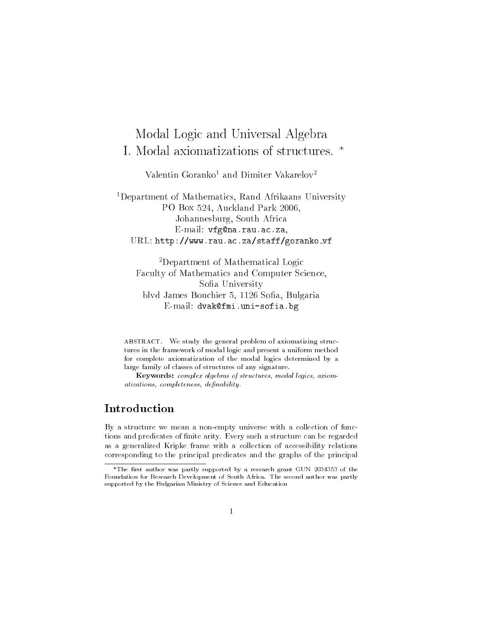# Modal Logic and Universal Algebra I. Modal axiomatizations of structures. \*

Valentin Goranko<sup>1</sup> and Dimiter Vakarelov<sup>2</sup>

<sup>1</sup>Department of Mathematics, Rand Afrikaans University PO Box 524, Auckland Park 2006, Johannesburg, South Africa E-mail: vfg@na.rau.ac.za, URL: http://www.rau.ac.za/staff/goranko\_vf

<sup>2</sup>Department of Mathematical Logic Faculty of Mathematics and Computer Science, Sofia University blyd James Bouchier 5, 1126 Sofia, Bulgaria E-mail: dvak@fmi.uni-sofia.bg

ABSTRACT. We study the general problem of axiomatizing structures in the framework of modal logic and present a uniform method for complete axiomatization of the modal logics determined by a large family of classes of structures of any signature.

Keywords: complex algebras of structures, modal logics, axiomatizations, completeness, definability

# Introduction

By a structure we mean a non-empty universe with a collection of functions and predicates of finite arity. Every such a structure can be regarded as a generalized Kripke frame with a collection of accessibility relations corresponding to the principal predicates and the graphs of the principal

<sup>\*</sup>The first author was partly supported by a research grant GUN 2034353 of the Foundation for Research Development of South Africa. The second author was partly supported by the Bulgarian Ministry of Science and Education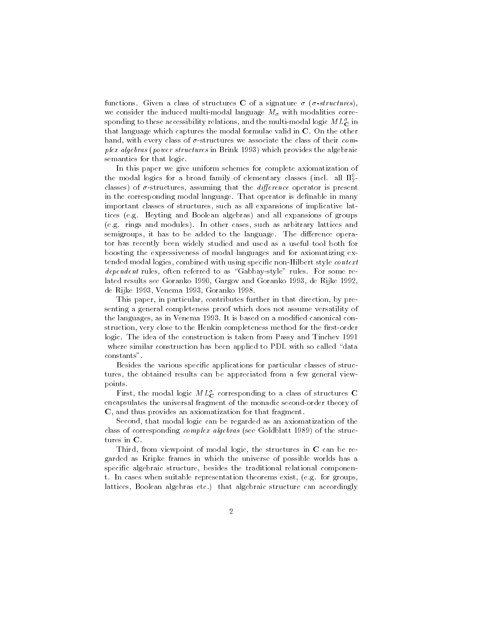functions. Given a class of structures C of a signature  $\sigma$  ( $\sigma$ -structures), we consider the induced multi-modal language  $M_{\sigma}$  with modalities corresponding to these accessibility relations, and the multi-modal logic  $ML_{\mathbf{C}}^{\sigma}$  in that language which captures the modal formulae valid in  $C$ . On the other hand, with every class of  $\sigma$ -structures we associate the class of their com*plex algebras (power structures* in Brink 1993) which provides the algebraic semantics for that logic.

In this paper we give uniform schemes for complete axiomatization of the modal logics for a broad family of elementary classes (incl. all  $\Pi_2^0$ classes) of  $\sigma$ -structures, assuming that the *difference* operator is present in the corresponding modal language. That operator is definable in many important classes of structures, such as all expansions of implicative lattices (e.g. Heyting and Boolean algebras) and all expansions of groups (e.g. rings and modules). In other cases, such as arbitrary lattices and semigroups, it has to be added to the language. The difference operator has recently been widely studied and used as a useful tool both for boosting the expressiveness of modal languages and for axiomatizing extended modal logics, combined with using specific non-Hilbert style *context* dependent rules, often referred to as "Gabbay-style" rules. For some related results see Goranko 1990, Gargov and Goranko 1993, de Rijke 1992, de Rijke 1993, Venema 1993, Goranko 1998.

This paper, in particular, contributes further in that direction, by presenting a general completeness proof which does not assume versatility of the languages, as in Venema 1993. It is based on a modified canonical construction, very close to the Henkin completeness method for the first-order logic. The idea of the construction is taken from Passy and Tinchev 1991 where similar construction has been applied to PDL with so called "data" constants".

Besides the various specific applications for particular classes of structures, the obtained results can be appreciated from a few general viewpoints.

First, the modal logic  $ML_{\mathbf{C}}^{\sigma}$  corresponding to a class of structures C encapsulates the universal fragment of the monadic second-order theory of C, and thus provides an axiomatization for that fragment.

Second, that modal logic can be regarded as an axiomatization of the class of corresponding *complex algebras* (see Goldblatt 1989) of the structures in C.

Third, from viewpoint of modal logic, the structures in C can be regarded as Kripke frames in which the universe of possible worlds has a specific algebraic structure, besides the traditional relational component. In cases when suitable representation theorems exist, (e.g. for groups, lattices, Boolean algebras etc.) that algebraic structure can accordingly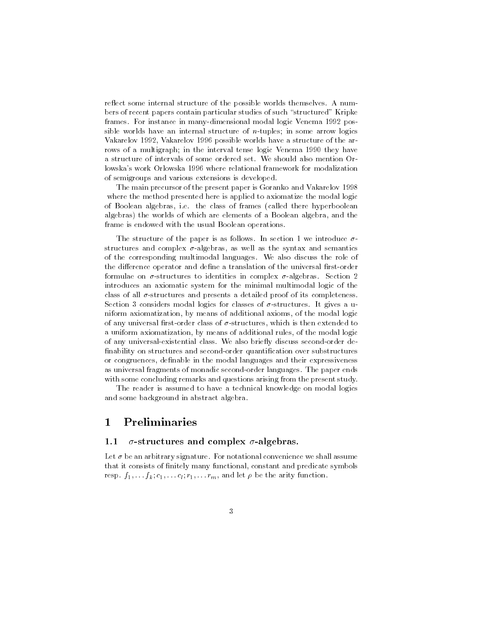reflect some internal structure of the possible worlds themselves. A numbers of recent papers contain particular studies of such "structured" Kripke frames. For instance in many-dimensional modal logic Venema 1992 possible worlds have an internal structure of  $n$ -tuples; in some arrow logics Vakarelov 1992, Vakarelov 1996 possible worlds have a structure of the arrows of a multigraph; in the interval tense logic Venema 1990 they have a structure of intervals of some ordered set. We should also mention Orlowska's work Orlowska 1996 where relational framework for modalization of semigroups and various extensions is developed.

The main precursor of the present paper is Goranko and Vakarelov 1998 where the method presented here is applied to axiomatize the modal logic of Boolean algebras, i.e. the class of frames (called there hyperboolean algebras) the worlds of which are elements of a Boolean algebra, and the frame is endowed with the usual Boolean operations.

The structure of the paper is as follows. In section 1 we introduce  $\sigma$ structures and complex  $\sigma$ -algebras, as well as the syntax and semantics of the corresponding multimodal languages. We also discuss the role of the difference operator and define a translation of the universal first-order formulae on  $\sigma$ -structures to identities in complex  $\sigma$ -algebras. Section 2 introduces an axiomatic system for the minimal multimodal logic of the class of all  $\sigma$ -structures and presents a detailed proof of its completeness Section 3 considers modal logics for classes of  $\sigma$ -structures. It gives a uniform axiomatization, by means of additional axioms, of the modal logic of any universal first-order class of  $\sigma$ -structures, which is then extended to a uniform axiomatization, by means of additional rules, of the modal logic of any universal-existential class. We also briefly discuss second-order definability on structures and second-order quantification over substructures or congruences, definable in the modal languages and their expressiveness as universal fragments of monadic second-order languages. The paper ends with some concluding remarks and questions arising from the present study.

The reader is assumed to have a technical knowledge on modal logics and some background in abstract algebra.

### $\Preliminaries$  $\mathbf{1}$

#### $\sigma$ -structures and complex  $\sigma$ -algebras.  $1.1$

Let  $\sigma$  be an arbitrary signature. For notational convenience we shall assume that it consists of finitely many functional, constant and predicate symbols resp.  $f_1, \ldots, f_k; c_1, \ldots c_l; r_1, \ldots r_m$ , and let  $\rho$  be the arity function.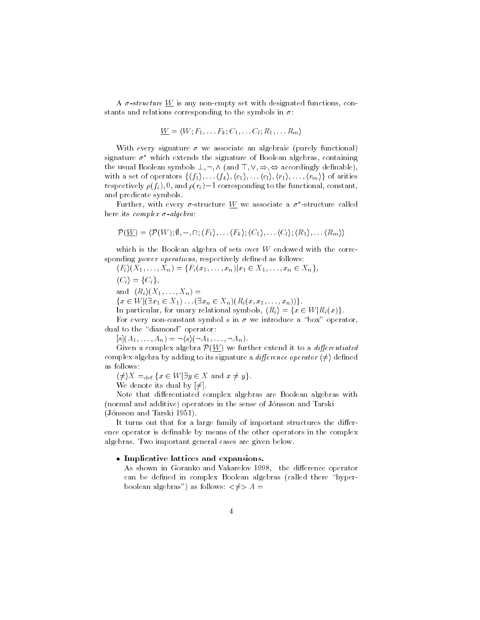A  $\sigma$ -structure W is any non-empty set with designated functions, constants and relations corresponding to the symbols in  $\sigma$ .

$$
\underline{W} = \langle W; F_1, \ldots F_k; C_1, \ldots C_l; R_1, \ldots R_m \rangle
$$

With every signature  $\sigma$  we associate an algebraic (purely functional) signature  $\sigma^*$  which extends the signature of Boolean algebras, containing the usual Boolean symbols  $\bot, \neg, \wedge$  (and  $\top, \vee, \Rightarrow, \Leftrightarrow$  accordingly definable), with a set of operators  $\{\langle f_1\rangle,\ldots,\langle f_k\rangle,\langle c_1\rangle,\ldots,\langle c_l\rangle,\langle r_1\rangle,\ldots,\langle r_m\rangle\}$  of arities respectively  $\rho(f_i)$ , 0, and  $\rho(r_i)$  – 1 corresponding to the functional, constant, and predicate symbols.

Further, with every  $\sigma$ -structure W we associate a  $\sigma^*$ -structure called here its complex  $\sigma$ -algebra:

$$
\mathcal{P}(\underline{W}) = \langle \mathcal{P}(W); \emptyset, -, \cap; \langle F_1 \rangle, \ldots \langle F_k \rangle; \langle C_1 \rangle, \ldots \langle C_l \rangle; \langle R_1 \rangle, \ldots \langle R_m \rangle \rangle
$$

which is the Boolean algebra of sets over  $W$  endowed with the corresponding *power operations*, respectively defined as follows:

$$
\langle F_i \rangle (X_1, \ldots, X_n) = \{ F_i(x_1, \ldots, x_n) | x_1 \in X_1, \ldots, x_n \in X_n \},
$$

 $\langle C_i \rangle = \{C_i\},\$ 

and  $\langle R_i \rangle (X_1, \ldots, X_n) =$ 

 $\{x \in W | (\exists x_1 \in X_1) \dots (\exists x_n \in X_n) (R_i(x, x_1, \dots, x_n))\}.$ 

In particular, for unary relational symbols,  $\langle R_i \rangle = \{x \in W | R_i(x) \}.$ 

For every non-constant symbol s in  $\sigma$  we introduce a "box" operator, dual to the "diamond" operator:

 $[s](A_1,\ldots,A_n) = \neg \langle s \rangle (\neg A_1,\ldots,\neg A_n).$ 

Given a complex algebra  $\mathcal{P}(\underline{W})$  we further extend it to a *differentiated* complex algebra by adding to its signature a *difference operator*  $\langle \neq \rangle$  defined as follows:

 $\langle \neq \rangle X =_{\text{def}} \{x \in W | \exists y \in X \text{ and } x \neq y\}.$ 

We denote its dual by  $[\neq]$ .

Note that differentiated complex algebras are Boolean algebras with (normal and additive) operators in the sense of Jónsson and Tarski (Jónsson and Tarski 1951).

It turns out that for a large family of important structures the difference operator is definable by means of the other operators in the complex algebras. Two important general cases are given below.

### • Implicative lattices and expansions.

As shown in Goranko and Vakarelov 1998, the difference operator can be defined in complex Boolean algebras (called there "hyperboolean algebras") as follows:  $\lt \neq > A$  =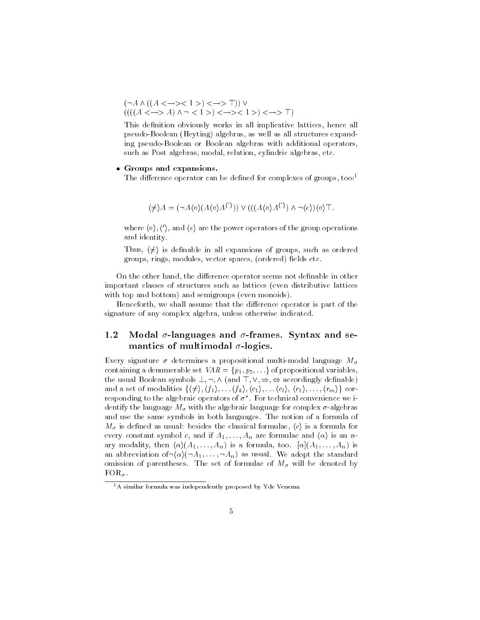$(\neg A \land ((A \iff >> 1 >> < \neggt; \top)) \lor \\ (((A \iff > A) \land \neg < 1 >> < \neggt; < 1 >> < \neggt; \top)$ 

This definition obviously works in all implicative lattices, hence all pseudo-Boolean (Heyting) algebras, as well as all structures expanding pseudo-Boolean or Boolean algebras with additional operators, such as Post algebras, modal, relation, cylindric algebras, etc.

## • Groups and expansions.

The difference operator can be defined for complexes of groups, too:<sup>1</sup>

$$
\langle \neq \rangle A = (\neg A \langle \circ \rangle (A \langle \circ \rangle A^{\langle \prime \rangle})) \vee (((A \langle \circ \rangle A^{\langle \prime \rangle}) \wedge \neg \langle e \rangle) \langle \circ \rangle \top.
$$

where  $\langle \circ \rangle$ ,  $\langle \circ \rangle$ , and  $\langle e \rangle$  are the power operators of the group operations and identity.

Thus,  $\langle \neq \rangle$  is definable in all expansions of groups, such as ordered groups, rings, modules, vector spaces, (ordered) fields etc.

On the other hand, the difference operator seems not definable in other important classes of structures such as lattices (even distributive lattices with top and bottom) and semigroups (even monoids).

Henceforth, we shall assume that the difference operator is part of the signature of any complex algebra, unless otherwise indicated.

### Modal  $\sigma$ -languages and  $\sigma$ -frames. Syntax and se-1.2 mantics of multimodal  $\sigma$ -logics.

Every signature  $\sigma$  determines a propositional multi-modal language  $M_{\sigma}$ containing a denumerable set  $VAR = \{p_1, p_2, \ldots\}$  of propositional variables, the usual Boolean symbols  $\bot, \neg, \wedge$  (and  $\top, \vee, \Rightarrow, \Leftrightarrow$  accordingly definable) and a set of modalities  $\{(\neq), (f_1), \ldots, (f_k), (c_1), \ldots, (c_l), (r_1), \ldots, (r_m)\}\$  corresponding to the algebraic operators of  $\sigma^*$ . For technical convenience we identify the language  $M_{\sigma}$  with the algebraic language for complex  $\sigma$ -algebras and use the same symbols in both languages. The notion of a formula of  $M_{\sigma}$  is defined as usual: besides the classical formulae,  $\langle c \rangle$  is a formula for every constant symbol c, and if  $A_1, \ldots, A_n$  are formulae and  $\langle \alpha \rangle$  is an nary modality, then  $\langle \alpha \rangle (A_1, \ldots, A_n)$  is a formula, too.  $[\alpha](A_1, \ldots, A_n)$  is an abbreviation of  $\langle \alpha \rangle$  ( $\neg A_1, \ldots, \neg A_n$ ) as usual. We adopt the standard omission of parentheses. The set of formulae of  $M_{\sigma}$  will be denoted by  $FOR_{\sigma}$ .

 $1A$  similar formula was independently proposed by Yde Venema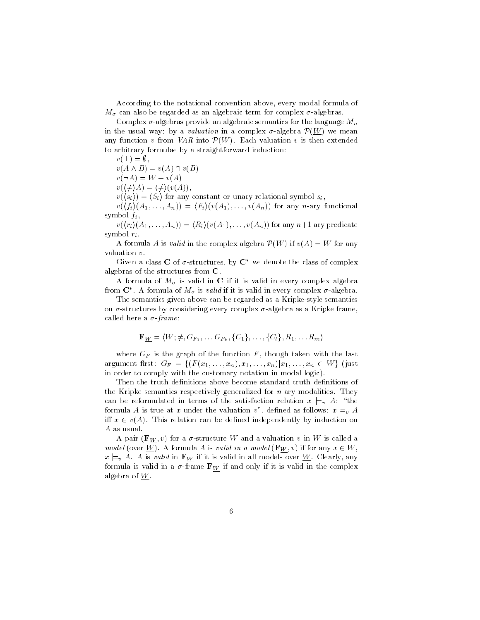According to the notational convention above, every modal formula of  $M_{\sigma}$  can also be regarded as an algebraic term for complex  $\sigma$ -algebras.

Complex  $\sigma$ -algebras provide an algebraic semantics for the language  $M_{\sigma}$ in the usual way: by a *valuation* in a complex  $\sigma$ -algebra  $\mathcal{P}(\underline{W})$  we mean any function v from VAR into  $\mathcal{P}(W)$ . Each valuation v is then extended to arbitrary formulae by a straightforward induction:

$$
v(\bot) = \emptyset
$$

 $v(A \wedge B) = v(A) \cap v(B)$ 

 $v(\neg A) = W - v(A)$ 

 $v(\langle \neq \rangle A) = \langle \neq \rangle (v(A)),$ 

 $v(\langle s_i \rangle) = \langle S_i \rangle$  for any constant or unary relational symbol  $s_i$ ,

 $v(\langle f_i \rangle (A_1,\ldots,A_n)) = \langle F_i \rangle (v(A_1),\ldots,v(A_n))$  for any n-ary functional symbol  $f_i$ ,

 $v(\langle r_i \rangle (A_1,\ldots,A_n)) = \langle R_i \rangle (v(A_1),\ldots,v(A_n))$  for any  $n+1$ -ary predicate symbol  $r_i$ .

A formula A is *valid* in the complex algebra  $\mathcal{P}(\underline{W})$  if  $v(A) = W$  for any valuation  $v$ .

Given a class C of  $\sigma$ -structures, by  $C^*$  we denote the class of complex algebras of the structures from C

A formula of  $M_{\sigma}$  is valid in C if it is valid in every complex algebra from  $\mathbb{C}^*$ . A formula of  $M_{\sigma}$  is *valid* if it is valid in every complex  $\sigma$ -algebra.

The semantics given above can be regarded as a Kripke-style semantics on  $\sigma$ -structures by considering every complex  $\sigma$ -algebra as a Kripke frame, called here a  $\sigma$ -frame:

$$
\mathbf{F}_{\underline{W}} = \langle W; \neq, G_{F_1}, \dots G_{F_k}, \{C_1\}, \dots, \{C_l\}, R_1, \dots R_m \rangle
$$

where  $G_F$  is the graph of the function  $F$ , though taken with the last argument first:  $G_F = \{ (F(x_1, ..., x_n), x_1, ..., x_n) | x_1, ..., x_n \in W \}$  (just in order to comply with the customary notation in modal logic).

Then the truth definitions above become standard truth definitions of the Kripke semantics respectively generalized for  $n$ -ary modalities. They can be reformulated in terms of the satisfaction relation  $x \models_{v} A$ : "the formula A is true at x under the valuation v", defined as follows:  $x \models_{v} A$ iff  $x \in v(A)$ . This relation can be defined independently by induction on A as usual.

A pair  $(\mathbf{F}_W, v)$  for a  $\sigma$ -structure W and a valuation v in W is called a model (over <u>W</u>). A formula A is valid in a model ( $\mathbf{F}_W$ , v) if for any  $x \in W$ ,  $x \models_{v} A$ . A is valid in  $\mathbf{F}_{W}$  if it is valid in all models over <u>W</u>. Clearly, any formula is valid in a  $\sigma$ -frame  $\mathbf{F}_W$  if and only if it is valid in the complex algebra of  $\underline{W}$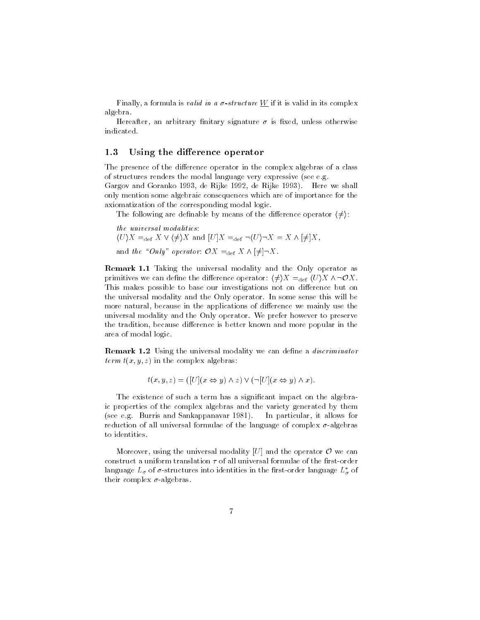Finally, a formula is *valid in a*  $\sigma$ *-structure*  $\underline{W}$  if it is valid in its complex algebra.

Hereafter, an arbitrary finitary signature  $\sigma$  is fixed, unless otherwise indicated.

#### Using the difference operator  $1.3$

The presence of the difference operator in the complex algebras of a class of structures renders the modal language very expressive (see e.g.

Gargov and Goranko 1993, de Rijke 1992, de Rijke 1993). Here we shall only mention some algebraic consequences which are of importance for the axiomatization of the corresponding modal logic.

The following are definable by means of the difference operator  $\langle \neq \rangle$ :

the universal modalities:  
\n
$$
\langle U \rangle X =_{\text{def}} X \vee \langle \neq \rangle X
$$
 and  $[U]X =_{\text{def}} \neg \langle U \rangle \neg X = X \wedge [\neq]X$ ,  
\nand the "Only" operator:  $\mathcal{O}X =_{\text{def}} X \wedge [\neq] \neg X$ .

**Remark 1.1** Taking the universal modality and the Only operator as primitives we can define the difference operator:  $\langle \neq \rangle X =_{\text{def}} \langle U \rangle X \wedge \neg \mathcal{O} X$ This makes possible to base our investigations not on difference but on the universal modality and the Only operator. In some sense this will be more natural, because in the applications of difference we mainly use the universal modality and the Only operator. We prefer however to preserve the tradition, because difference is better known and more popular in the area of modal logic.

**Remark 1.2** Using the universal modality we can define a *discriminator term*  $t(x, y, z)$  in the complex algebras:

$$
t(x, y, z) = ([U](x \Leftrightarrow y) \wedge z) \vee (\neg [U](x \Leftrightarrow y) \wedge x).
$$

The existence of such a term has a significant impact on the algebraic properties of the complex algebras and the variety generated by them (see e.g. Burris and Sankappanavar 1981). In particular, it allows for reduction of all universal formulae of the language of complex  $\sigma$ -algebras to identities.

Moreover, using the universal modality [U] and the operator  $O$  we can construct a uniform translation  $\tau$  of all universal formulae of the first-order language  $L_{\sigma}$  of  $\sigma$ -structures into identities in the first-order language  $L_{\sigma}^{*}$  of their complex  $\sigma$ -algebras.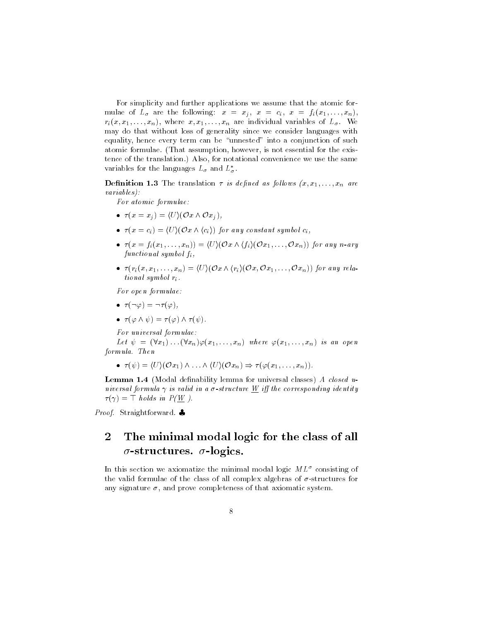For simplicity and further applications we assume that the atomic formulae of  $L_{\sigma}$  are the following:  $x = x_j$ ,  $x = c_i$ ,  $x = f_i(x_1, \ldots, x_n)$ ,  $r_i(x, x_1, \ldots, x_n)$ , where  $x, x_1, \ldots, x_n$  are individual variables of  $L_{\sigma}$ . We may do that without loss of generality since we consider languages with equality, hence every term can be "unnested" into a conjunction of such atomic formulae. (That assumption, however, is not essential for the existence of the translation.) Also, for notational convenience we use the same variables for the languages  $L_{\sigma}$  and  $L_{\sigma}^{*}$ .

**Definition 1.3** The translation  $\tau$  is defined as follows  $(x, x_1, \ldots, x_n$  are  $variables):$ 

For atomic formulae:

- $\tau(x=x_i) = \langle U \rangle (\mathcal{O} x \wedge \mathcal{O} x_i),$
- $\bullet \ \tau(x=c_i) = \langle U \rangle (\mathcal{O}x \wedge \langle c_i \rangle)$  for any constant symbol  $c_i$ .
- $\tau(x = f_i(x_1, \ldots, x_n)) = \langle U \rangle (\mathcal{O}x \wedge \langle f_i \rangle(\mathcal{O}x_1, \ldots, \mathcal{O}x_n))$  for any n-ary  $functional symbol f_i$ ,
- $\tau(r_i(x, x_1, \ldots, x_n) = \langle U \rangle (\mathcal{O} x \wedge \langle r_i \rangle (\mathcal{O} x, \mathcal{O} x_1, \ldots, \mathcal{O} x_n))$  for any relational symbol  $r_i$ .

For open formulae:

- $\tau(\neg\varphi) = \neg \tau(\varphi)$ ,
- $\tau(\varphi \wedge \psi) = \tau(\varphi) \wedge \tau(\psi)$ .

For universal formulae:

Let  $\psi = (\forall x_1) \dots (\forall x_n) \varphi(x_1, \dots, x_n)$  where  $\varphi(x_1, \dots, x_n)$  is an open formula. Then

 $\bullet \ \tau(\psi) = \langle U \rangle (\mathcal{O}x_1) \wedge \ldots \wedge \langle U \rangle (\mathcal{O}x_n) \Rightarrow \tau(\varphi(x_1, \ldots, x_n)).$ 

**Lemma 1.4** (Modal definability lemma for universal classes) A closed universal formula  $\gamma$  is valid in a  $\sigma$ -structure  $\underline{W}$  iff the corresponding identity  $\tau(\gamma) = \top$  holds in  $P(\underline{W})$ .

Proof. Straightforward.

### $\overline{2}$ The minimal modal logic for the class of all  $\sigma$ -structures.  $\sigma$ -logics.

In this section we axiomatize the minimal modal logic  $ML^{\sigma}$  consisting of the valid formulae of the class of all complex algebras of  $\sigma$ -structures for any signature  $\sigma$ , and prove completeness of that axiomatic system.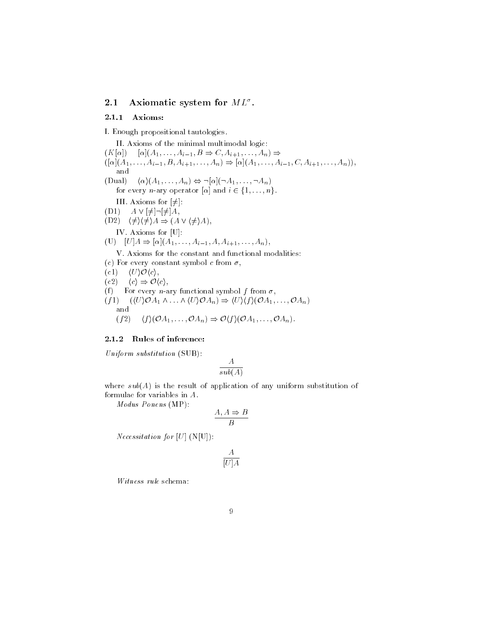#### $2.1$ Axiomatic system for  $ML^{\sigma}$ .

#### $2.1.1$ Axioms:

I. Enough propositional tautologies.

II. Axioms of the minimal multimodal logic:  $(K[\alpha]) \quad [\alpha](A_1, \ldots, A_{i-1}, B \Rightarrow C, A_{i+1}, \ldots, A_n) \Rightarrow$  $([\alpha](A_1,\ldots,A_{i-1},B,A_{i+1},\ldots,A_n) \Rightarrow [\alpha](A_1,\ldots,A_{i-1},C,A_{i+1},\ldots,A_n)),$ and (Dual)  $\langle \alpha \rangle (A_1, \ldots, A_n) \Leftrightarrow \neg [\alpha] (\neg A_1, \ldots, \neg A_n)$ for every *n*-ary operator  $[\alpha]$  and  $i \in \{1, ..., n\}$ . III. Axioms for  $[\neq]$ :  $(D1)$   $A \vee [\neq] \neg [\neq] A$ ,  $(D2) \quad \langle \neq \rangle \langle \neq \rangle A \Rightarrow (A \vee \langle \neq \rangle A),$ IV. Axioms for [U]: (U)  $[U] A \Rightarrow [\alpha](A_1, \ldots, A_{i-1}, A, A_{i+1}, \ldots, A_n),$ V. Axioms for the constant and functional modalities: (c) For every constant symbol c from  $\sigma$ ,  $(c1) \quad \langle U \rangle \mathcal{O} \langle c \rangle,$  $(c2) \quad \langle c \rangle \Rightarrow \mathcal{O}\langle c \rangle,$ (f) For every *n*-ary functional symbol f from  $\sigma$ ,  $(f1)$   $(\langle U \rangle \mathcal{O} A_1 \wedge \ldots \wedge \langle U \rangle \mathcal{O} A_n) \Rightarrow \langle U \rangle \langle f \rangle (\mathcal{O} A_1, \ldots, \mathcal{O} A_n)$ and  $\langle f \rangle (\mathcal{O}A_1, \ldots, \mathcal{O}A_n) \Rightarrow \mathcal{O} \langle f \rangle (\mathcal{O}A_1, \ldots, \mathcal{O}A_n).$  $(f2)$ 

# 2.1.2 Rules of inference:

Uniform substitution (SUB):

$$
\frac{A}{sub(A)}
$$

where  $sub(A)$  is the result of application of any uniform substitution of formulae for variables in  $A$ .

 $Modus$  Ponens (MP):

$$
\frac{A, A \Rightarrow B}{B}
$$

*Necessitation for* [U]  $(N[U])$ :

$$
\frac{A}{[U]A}
$$

Witness rule schema: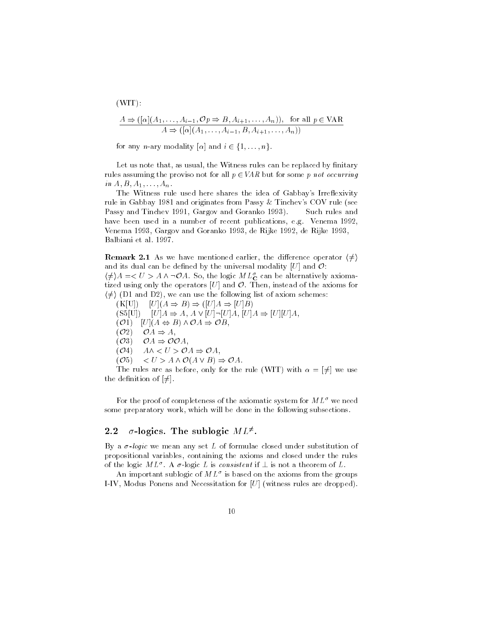$(WIT)$ :  $A \Rightarrow ([\alpha](A_1, \ldots, A_{i-1}, \mathcal{O}p \Rightarrow B, A_{i+1}, \ldots, A_n)),$  for all  $p \in \text{VAR}$ <br> $A \Rightarrow ([\alpha](A_1, \ldots, A_{i-1}, B, A_{i+1}, \ldots, A_n))$ 

for any *n*-ary modality  $[\alpha]$  and  $i \in \{1, ..., n\}$ .

Let us note that, as usual, the Witness rules can be replaced by finitary rules assuming the proviso not for all  $p \in VAR$  but for some p not occurring in  $A, B, A_1, \ldots, A_n$ .

The Witness rule used here shares the idea of Gabbay's Irreflexivity rule in Gabbay 1981 and originates from Passy & Tinchev's COV rule (see Passy and Tinchev 1991, Gargov and Goranko 1993). Such rules and have been used in a number of recent publications, e.g. Venema 1992 Venema 1993, Gargov and Goranko 1993, de Rijke 1992, de Rijke 1993, Balbiani et al. 1997.

**Remark 2.1** As we have mentioned earlier, the difference operator  $\langle \neq \rangle$ and its dual can be defined by the universal modality [U] and  $\mathcal{O}$ :

 $\langle \neq \rangle A = \langle U \rangle A \wedge \neg \mathcal{O} A$ . So, the logic  $ML_{\mathbf{C}}^{\sigma}$  can be alternatively axiomatized using only the operators  $[U]$  and  $\mathcal O$ . Then, instead of the axioms for  $\langle \neq \rangle$  (D1 and D2), we can use the following list of axiom schemes:

 $(K[U])$   $[U](A \Rightarrow B) \Rightarrow ([U]A \Rightarrow [U]B)$  $(S5[U])$   $[U]A \Rightarrow A, A \vee [U] \neg [U]A, [U]A \Rightarrow [U][U]A,$  $(\mathcal{O}1)$   $[U](A \Leftrightarrow B) \wedge \mathcal{O}A \Rightarrow \mathcal{O}B,$  $(\mathcal{O}2)$  $\mathcal{O}A \Rightarrow A,$  $(\mathcal{O}3)$  $\mathcal{O}A \Rightarrow \mathcal{O}\mathcal{O}A,$  $A \wedge \langle U \rangle \mathcal{O} A \Rightarrow \mathcal{O} A$ ,  $(O<sub>4</sub>)$  $(\mathcal{O}5)$  $\langle U \rangle A \wedge \mathcal{O}(A \vee B) \Rightarrow \mathcal{O}A.$ 

The rules are as before, only for the rule (WIT) with  $\alpha = [\neq]$  we use the definition of  $[\neq]$ .

For the proof of completeness of the axiomatic system for  $ML^{\sigma}$  we need some preparatory work, which will be done in the following subsections.

#### $\sigma$ -logics. The sublogic  $ML^{\neq}$ .  $2.2$

By a  $\sigma$ -logic we mean any set L of formulae closed under substitution of propositional variables, containing the axioms and closed under the rules of the logic  $ML^{\sigma}$ . A  $\sigma$ -logic L is consistent if  $\perp$  is not a theorem of L.

An important sublogic of  $ML^{\sigma}$  is based on the axioms from the groups I-IV, Modus Ponens and Necessitation for  $[U]$  (witness rules are dropped)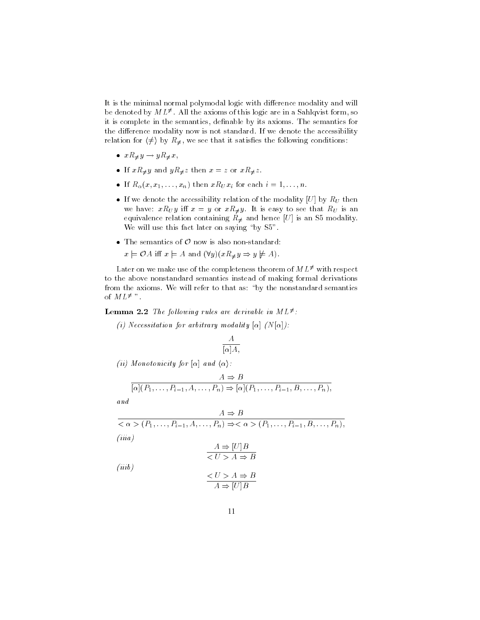It is the minimal normal polymodal logic with difference modality and will be denoted by  $ML^{\neq}$ . All the axioms of this logic are in a Sahlqvist form, so it is complete in the semantics, definable by its axioms. The semantics for the difference modality now is not standard. If we denote the accessibility relation for  $\langle \neq \rangle$  by  $R_{\neq}$ , we see that it satisfies the following conditions:

- $xR_{\neq}y \rightarrow yR_{\neq}x$ ,
- If  $xR_{\neq}y$  and  $yR_{\neq}z$  then  $x=z$  or  $xR_{\neq}z$ .
- If  $R_{\alpha}(x, x_1, \ldots, x_n)$  then  $xR_Ux_i$  for each  $i = 1, \ldots, n$ .
- If we denote the accessibility relation of the modality [U] by  $R_U$  then we have:  $xR_Uy$  iff  $x = y$  or  $xR_{\neq}y$ . It is easy to see that  $R_U$  is an equivalence relation containing  $R_{\neq}$  and hence [U] is an S5 modality We will use this fact later on saying "by S5".
- The semantics of  $\mathcal O$  now is also non-standard:

 $x \models \mathcal{O}A$  iff  $x \models A$  and  $(\forall y)(xR_{\neq} y \Rightarrow y \not\models A)$ .

Later on we make use of the completeness theorem of  $ML^{\neq}$  with respect to the above nonstandard semantics instead of making formal derivations from the axioms. We will refer to that as: "by the nonstandard semantics of  $ML^{\neq}$  ".

# **Lemma 2.2** The following rules are derivable in  $ML^{\neq}$ :

(i) Necessitation for arbitrary modality  $[\alpha]$   $(N[\alpha])$ :

$$
\frac{A}{[\alpha]A},
$$

(*ii*) Monotonicity for  $[\alpha]$  and  $\langle \alpha \rangle$ :

$$
A \Rightarrow B
$$

$$
\lbrack \alpha \rbrack (P_1, \ldots, P_{i-1}, A, \ldots, P_n) \Rightarrow \lbrack \alpha \rbrack (P_1, \ldots, P_{i-1}, B, \ldots, P_n),
$$

and

$$
\frac{A \Rightarrow B}{<\alpha>(P_1,\ldots,P_{i-1},A,\ldots,P_n)\Rightarrow<\alpha>(P_1,\ldots,P_{i-1},B,\ldots,P_n),}
$$
  
(iiiia)  

$$
\frac{A \Rightarrow [U]B}{A \Rightarrow B}
$$
  
(iiib)  

$$
\frac{\leq U>A \Rightarrow B}{A \Rightarrow [U]B}
$$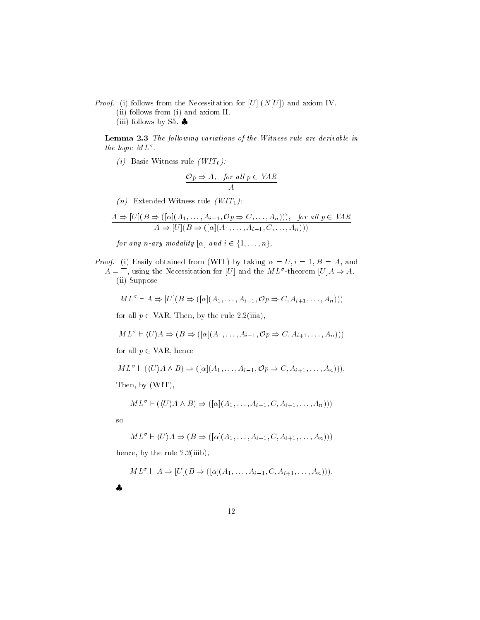*Proof.* (i) follows from the Necessitation for [U]  $(N[U])$  and axiom IV.

(ii) follows from (i) and axiom II.

(iii) follows by S5.  $\clubsuit$ 

Lemma 2.3 The following variations of the Witness rule are derivable in the logic  $ML^{\sigma}$ .

(i) Basic Witness rule  $(WIT_0)$ :

$$
\frac{\mathcal{O}p \Rightarrow A, \quad \text{for all } p \in \text{VAR}}{A}
$$

(*ii*) Extended Witness rule ( $WIT_1$ ):

$$
A \Rightarrow [U](B \Rightarrow ([\alpha](A_1, \dots, A_{i-1}, \mathcal{O}p \Rightarrow C, \dots, A_n))), \text{ for all } p \in VAR
$$
  

$$
A \Rightarrow [U](B \Rightarrow ([\alpha](A_1, \dots, A_{i-1}, C, \dots, A_n)))
$$

for any n-ary modality  $[\alpha]$  and  $i \in \{1, ..., n\},$ 

*Proof.* (i) Easily obtained from (WIT) by taking  $\alpha = U, i = 1, B = A$ , and  $A = \top$ , using the Necessitation for [U] and the  $ML^{\sigma}$ -theorem [U] $A \Rightarrow A$ . (ii) Suppose

$$
ML^{\sigma} \vdash A \Rightarrow [U](B \Rightarrow ([\alpha](A_1, \ldots, A_{i-1}, \mathcal{O}p \Rightarrow C, A_{i+1}, \ldots, A_n)))
$$

for all  $p \in \text{VAR}$ . Then, by the rule 2.2(iiia),

 $ML^{\sigma} \vdash \langle U \rangle A \Rightarrow (B \Rightarrow ([\alpha](A_1, \ldots, A_{i-1}, \mathcal{O}p \Rightarrow C, A_{i+1}, \ldots, A_n)))$ 

for all  $p \in \text{VAR}$ , hence

 $ML^{\sigma} \vdash (\langle U \rangle A \land B) \Rightarrow ([\alpha](A_1, \ldots, A_{i-1}, \mathcal{O}p \Rightarrow C, A_{i+1}, \ldots, A_n))).$ 

Then, by (WIT),

$$
ML^{\sigma} \vdash (\langle U \rangle A \land B) \Rightarrow ([\alpha](A_1, \ldots, A_{i-1}, C, A_{i+1}, \ldots, A_n)))
$$

 $_{\rm SO}$ 

$$
ML^{\sigma} \vdash \langle U \rangle A \Rightarrow (B \Rightarrow ([\alpha](A_1, \ldots, A_{i-1}, C, A_{i+1}, \ldots, A_n)))
$$

hence, by the rule 2.2(iiib),

$$
ML^{\sigma} \vdash A \Rightarrow [U](B \Rightarrow ([\alpha](A_1, \ldots, A_{i-1}, C, A_{i+1}, \ldots, A_n)))
$$

4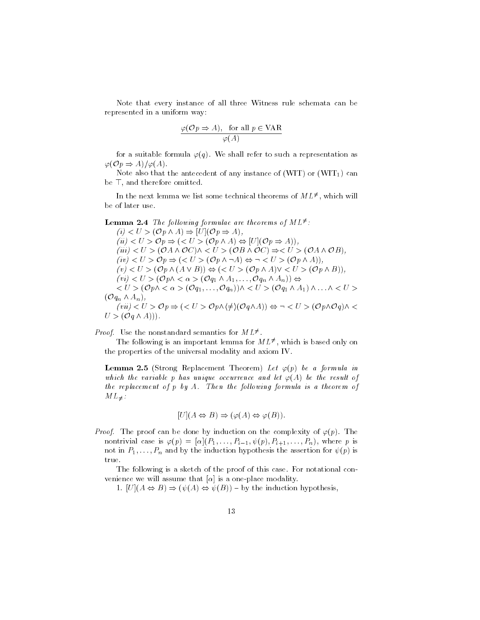Note that every instance of all three Witness rule schemata can be represented in a uniform way:

$$
\frac{\varphi(\mathcal{O}p \Rightarrow A), \text{ for all } p \in \text{VAR}}{\varphi(A)}
$$

for a suitable formula  $\varphi(q)$ . We shall refer to such a representation as  $\varphi(\mathcal{O}p \Rightarrow A)/\varphi(A).$ 

Note also that the antecedent of any instance of (WIT) or (WIT<sub>1</sub>) can be T, and therefore omitted.

In the next lemma we list some technical theorems of  $ML^{\neq}$ , which will be of later use.

**Lemma 2.4** The following formulae are theorems of  $ML^{\neq}$ :  $(i) < U > (\mathcal{O}p \wedge A) \Rightarrow [U](\mathcal{O}p \Rightarrow A),$  $(ii) < U > \mathcal{O}p \Rightarrow (< U > (\mathcal{O}p \land A) \Leftrightarrow [U](\mathcal{O}p \Rightarrow A)),$  $(iii) < U > (\mathcal{O} A \wedge \mathcal{O} C) \wedge < U > (\mathcal{O} B \wedge \mathcal{O} C) \Rightarrow < U > (\mathcal{O} A \wedge \mathcal{O} B),$  $(iv) < U > \mathcal{O}p \Rightarrow ( (\mathcal{O}p \land \neg A) \Leftrightarrow \neg < U > (\mathcal{O}p \land A)),$  $(v) < U > (\mathcal{O}p \wedge (A \vee B)) \Leftrightarrow (< U > (\mathcal{O}p \wedge A) \vee < U > (\mathcal{O}p \wedge B)),$  $(vi) < U > (\mathcal{O}p \wedge \langle \alpha \rangle \circ (\mathcal{O}q_1 \wedge A_1, \ldots, \mathcal{O}q_n \wedge A_n)) \Leftrightarrow$  $< U > (Op \wedge < \alpha > (Oq_1, \ldots, Oq_n)) \wedge < U > (Oq_1 \wedge A_1) \wedge \ldots \wedge < U >$  $({\cal O}q_n\wedge A_n),$  $(vii) < U > \mathcal{O}p \Rightarrow (< U > \mathcal{O}p \land (\neq)(\mathcal{O}q \land A)) \Leftrightarrow \neg < U > (\mathcal{O}p \land \mathcal{O}q) \land <$  $U > (\mathcal{O}_q \wedge A))$ .

*Proof.* Use the nonstandard semantics for  $ML^{\neq}$ .

The following is an important lemma for  $ML^{\neq}$ , which is based only on the properties of the universal modality and axiom IV.

**Lemma 2.5** (Strong Replacement Theorem) Let  $\varphi(p)$  be a formula in which the variable p has unique occurrence and let  $\varphi(A)$  be the result of the replacement of p by A. Then the following formula is a theorem of  $ML_{\neq}$ :

$$
[U](A \Leftrightarrow B) \Rightarrow (\varphi(A) \Leftrightarrow \varphi(B)).
$$

*Proof.* The proof can be done by induction on the complexity of  $\varphi(p)$ . The nontrivial case is  $\varphi(p) = [\alpha](P_1, \ldots, P_{i-1}, \psi(p), P_{i+1}, \ldots, P_n)$ , where p is not in  $P_1, \ldots, P_n$  and by the induction hypothesis the assertion for  $\psi(p)$  is true.

The following is a sketch of the proof of this case. For notational convenience we will assume that  $\alpha$  is a one-place modality.

1.  $[U](A \Leftrightarrow B) \Rightarrow (\psi(A) \Leftrightarrow \psi(B))$  - by the induction hypothesis,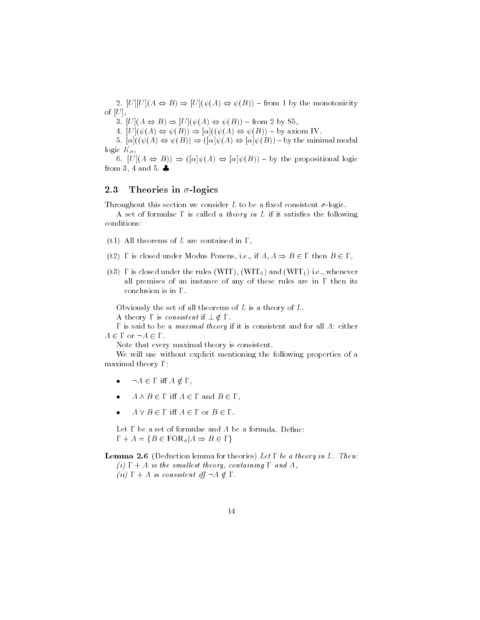2.  $[U][U](A \Leftrightarrow B) \Rightarrow [U](\psi(A) \Leftrightarrow \psi(B))$  - from 1 by the monotonicity of  $[U]$ ,

3.  $[U](A \Leftrightarrow B) \Rightarrow [U](\psi(A) \Leftrightarrow \psi(B))$  - from 2 by S5,

4.  $[U](\psi(A) \Leftrightarrow \psi(B)) \Rightarrow [\alpha]((\psi(A) \Leftrightarrow \psi(B)) - \text{by axiom IV.})$ 

5.  $[\alpha]((\psi(A) \Leftrightarrow \psi(B)) \Rightarrow ([\alpha]\psi(A) \Leftrightarrow [\alpha]\psi(B))$  - by the minimal modal logic  $K_{\sigma}$ 

6.  $[U](A \Leftrightarrow B)$   $\Rightarrow$   $([\alpha]\psi(A) \Leftrightarrow [\alpha]\psi(B))$  - by the propositional logic from 3, 4 and 5.  $\clubsuit$ 

### Theories in  $\sigma$ -logics 2.3

Throughout this section we consider L to be a fixed consistent  $\sigma$ -logic.

A set of formulae  $\Gamma$  is called a *theory in L* if it satisfies the following conditions:

- (t1) All theorems of L are contained in  $\Gamma$ ,
- (t2)  $\Gamma$  is closed under Modus Ponens, i.e., if  $A, A \Rightarrow B \in \Gamma$  then  $B \in \Gamma$ ,
- (t3)  $\Gamma$  is closed under the rules (WIT), (WIT<sub>0</sub>) and (WIT<sub>1</sub>) i.e., whenever all premises of an instance of any of these rules are in  $\Gamma$  then its conclusion is in  $\Gamma$ .

Obviously the set of all theorems of  $L$  is a theory of  $L$ . A theory  $\Gamma$  is consistent if  $\bot \notin \Gamma$ .

 $\Gamma$  is said to be a *maximal theory* if it is consistent and for all  $A$ : either  $A \in \Gamma$  or  $\neg A \in \Gamma$ .

Note that every maximal theory is consistent.

We will use without explicit mentioning the following properties of a maximal theory  $\Gamma$ :

- $\bullet$  $\neg A \in \Gamma$  iff  $A \notin \Gamma$ ,
- $A \wedge B \in \Gamma$  iff  $A \in \Gamma$  and  $B \in \Gamma$ ,  $\bullet$
- $A \vee B \in \Gamma$  iff  $A \in \Gamma$  or  $B \in \Gamma$ .  $\bullet$

Let  $\Gamma$  be a set of formulae and  $A$  be a formula. Define:  $\Gamma + A = \{ B \in \text{FOR}_{\sigma} | A \Rightarrow B \in \Gamma \}$ 

**Lemma 2.6** (Deduction lemma for theories) Let  $\Gamma$  be a theory in L. Then:

(i)  $\Gamma + A$  is the smallest theory, containing  $\Gamma$  and A, (*ii*)  $\Gamma + A$  is consistent iff  $\neg A \notin \Gamma$ .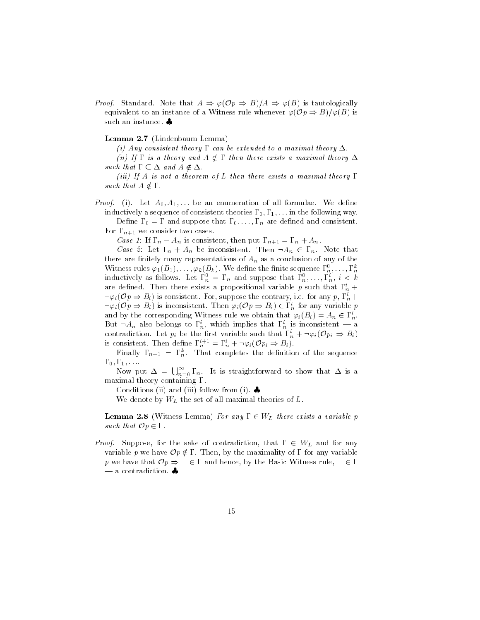*Proof.* Standard. Note that  $A \Rightarrow \varphi(\mathcal{O}p \Rightarrow B)/A \Rightarrow \varphi(B)$  is tautologically equivalent to an instance of a Witness rule whenever  $\varphi(\mathcal{O}p \Rightarrow B)/\varphi(B)$  is such an instance.

# Lemma 2.7 (Lindenbaum Lemma)

(i) Any consistent theory  $\Gamma$  can be extended to a maximal theory  $\Delta$ 

(ii) If  $\Gamma$  is a theory and  $A \notin \Gamma$  then there exists a maximal theory  $\Delta$ such that  $\Gamma \subseteq \Delta$  and  $A \notin \Delta$ .

(iii) If A is not a theorem of L then there exists a maximal theory  $\Gamma$ such that  $A \notin \Gamma$ .

*Proof.* (i). Let  $A_0, A_1, \ldots$  be an enumeration of all formulae. We define inductively a sequence of consistent theories  $\Gamma_0, \Gamma_1, \ldots$  in the following way.

Define  $\Gamma_0 = \Gamma$  and suppose that  $\Gamma_0, \ldots, \Gamma_n$  are defined and consistent. For  $\Gamma_{n+1}$  we consider two cases.

Case 1: If  $\Gamma_n + A_n$  is consistent, then put  $\Gamma_{n+1} = \Gamma_n + A_n$ .

*Case 2*: Let  $\Gamma_n + A_n$  be inconsistent. Then  $\neg A_n \in \Gamma_n$ . Note that there are finitely many representations of  $A_n$  as a conclusion of any of the Witness rules  $\varphi_1(B_1), \ldots, \varphi_k(B_k)$ . We define the finite sequence  $\Gamma_n^0, \ldots, \Gamma_n^k$  inductively as follows. Let  $\Gamma_n^0 = \Gamma_n$  and suppose that  $\Gamma_n^0, \ldots, \Gamma_n^i, i < k$ are defined. Then there exists a propositional variable p such that  $\Gamma_n^i$  +  $\neg \varphi_i(\mathcal{O}p \Rightarrow B_i)$  is consistent. For, suppose the contrary, i.e. for any p,  $\Gamma_n^i$  +  $\neg \varphi_i(\mathcal{O}p \Rightarrow B_i)$  is inconsistent. Then  $\varphi_i(\mathcal{O}p \Rightarrow B_i) \in \Gamma_n^i$  for any variable p and by the corresponding Witness rule we obtain that  $\varphi_i(B_i) = A_n \in \Gamma_n^i$ . But  $\neg A_n$  also belongs to  $\Gamma_n^i$ , which implies that  $\Gamma_n^i$  is inconsistent — a contradiction. Let  $p_i$  be the first variable such that  $\Gamma_n^i + \neg \varphi_i(\mathcal{O}p_i \Rightarrow B_i)$ is consistent. Then define  $\Gamma_n^{i+1} = \Gamma_n^i + \neg \varphi_i(\mathcal{O}p_i \Rightarrow B_i)$ .

Finally  $\Gamma_{n+1} = \Gamma_n^k$ . That completes the definition of the sequence  $\Gamma_0, \Gamma_1, \ldots$ 

Now put  $\Delta = \bigcup_{n=0}^{\infty} \Gamma_n$ . It is straightforward to show that  $\Delta$  is a maximal theory containing  $\Gamma$ .

Conditions (ii) and (iii) follow from (i).

We denote by  $W_L$  the set of all maximal theories of  $L$ .

**Lemma 2.8** (Witness Lemma) For any  $\Gamma \in W_L$  there exists a variable p such that  $\mathcal{O}p \in \Gamma$ .

*Proof.* Suppose, for the sake of contradiction, that  $\Gamma \in W_L$  and for any variable p we have  $\mathcal{O}p \notin \Gamma$ . Then, by the maximality of  $\Gamma$  for any variable p we have that  $Op \Rightarrow \bot \in \Gamma$  and hence, by the Basic Witness rule,  $\bot \in \Gamma$  $-$  a contradiction.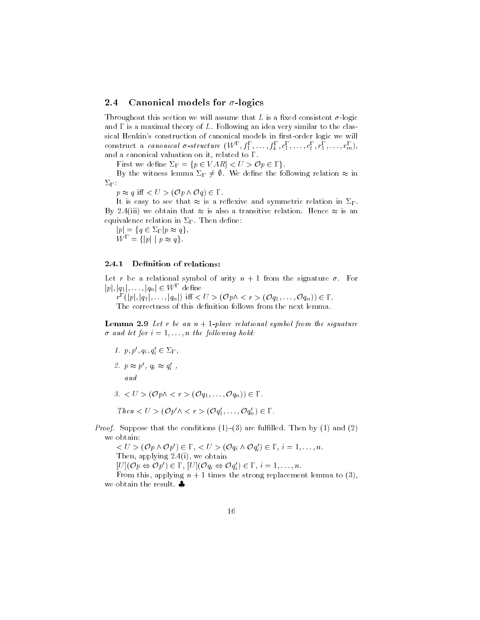#### 2.4 Canonical models for  $\sigma$ -logics

Throughout this section we will assume that L is a fixed consistent  $\sigma$ -logic and  $\Gamma$  is a maximal theory of  $L$ . Following an idea very similar to the classical Henkin's construction of canonical models in first-order logic we will construct a canonical  $\sigma$ -structure  $(W^{\Gamma}, f_1^{\Gamma}, \ldots, f_k^{\Gamma}, c_1^{\Gamma}, \ldots, c_l^{\Gamma}, r_1^{\Gamma}, \ldots, r_m^{\Gamma}),$ and a canonical valuation on it, related to  $\Gamma$ .

First we define  $\Sigma_{\Gamma} = \{ p \in VAR \mid \langle U \rangle \mathcal{O} p \in \Gamma \}.$ 

By the witness lemma  $\Sigma_{\Gamma} \neq \emptyset$ . We define the following relation  $\approx$  in  $\Sigma_{\Gamma}$ :

 $p \approx q$  iff  $\langle U \rangle (\mathcal{O} p \wedge \mathcal{O} q) \in \Gamma$ .

It is easy to see that  $\approx$  is a reflexive and symmetric relation in  $\Sigma_{\Gamma}$ . By 2.4(iii) we obtain that  $\approx$  is also a transitive relation. Hence  $\approx$  is an equivalence relation in  $\Sigma_{\Gamma}$ . Then define:

 $|p| = \{q \in \Sigma_{\Gamma} | p \approx q\},\$  $W^{\Gamma} = \{|p| \mid p \approx q\}.$ 

#### Definition of relations: 2.4.1

Let r be a relational symbol of arity  $n + 1$  from the signature  $\sigma$ . For  $|p|, |q_1|, \ldots, |q_n| \in W^{\Gamma}$  define

 $r^{\Gamma}(|p|, |q_1|, \ldots, |q_n|)$  iff  $\langle U \rangle (\mathcal{O}p \wedge \langle r \rangle (\mathcal{O}q_1, \ldots, \mathcal{O}q_n)) \in \Gamma$ . The correctness of this definition follows from the next lemma.

**Lemma 2.9** Let r be an  $n + 1$ -place relational symbol from the signature  $\sigma$  and let for  $i = 1, \ldots, n$  the following hold:

1.  $p, p', q_i, q'_i \in \Sigma_\Gamma$ , 2.  $p \approx p'$ ,  $q_i \approx q'_i$ ,  $a n d$  $3. < U > (\mathcal{O}p \wedge \langle r \rangle \mathcal{O}q_1, \ldots, \mathcal{O}q_n)) \in \Gamma.$ 

Then  $\langle U \rangle$  (Op' $\land \langle r \rangle$  (Oq'<sub>1</sub>, ..., Oq'<sub>n</sub>)  $\in \Gamma$ .

*Proof.* Suppose that the conditions  $(1)$ – $(3)$  are fulfilled. Then by  $(1)$  and  $(2)$ we obtain:

 $\langle U \rangle \langle (\mathcal{O}p \wedge \mathcal{O}p') \in \Gamma, \langle U \rangle \langle (\mathcal{O}q_i \wedge \mathcal{O}q_i') \in \Gamma, i = 1, \ldots, n.$ Then, applying  $2.4(i)$ , we obtain  $[U](\mathcal{O}p \Leftrightarrow \mathcal{O}p') \in \Gamma$ ,  $[U](\mathcal{O}q_i \Leftrightarrow \mathcal{O}q_i') \in \Gamma$ ,  $i = 1, ..., n$ . From this, applying  $n + 1$  times the strong replacement lemma to (3), we obtain the result.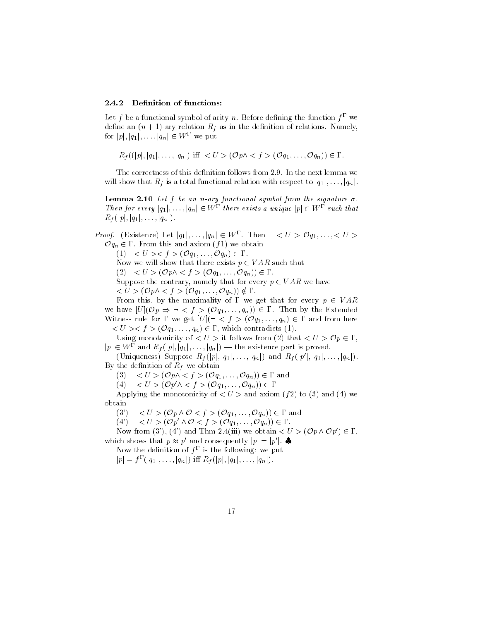#### 2.4.2 Definition of functions:

Let f be a functional symbol of arity n. Before defining the function  $f^{\Gamma}$  we define an  $(n + 1)$ -ary relation  $R_t$  as in the definition of relations. Namely, for  $|p|, |q_1|, \ldots, |q_n| \in W^{\Gamma}$  we put

 $R_f((|p|, |q_1|, \ldots, |q_n|))$  iff  $\langle U \rangle (\mathcal{O}p \wedge \langle f \rangle (\mathcal{O}q_1, \ldots, \mathcal{O}q_n)) \in \Gamma$ .

The correctness of this definition follows from 2.9. In the next lemma we will show that  $R_f$  is a total functional relation with respect to  $|q_1|, \ldots, |q_n|$ 

**Lemma 2.10** Let  $f$  be an n-ary functional symbol from the signature  $\sigma$ . Then for every  $|q_1|, \ldots, |q_n| \in W^{\Gamma}$  there exists a unique  $|p| \in W^{\Gamma}$  such that  $R_f(|p|, |q_1|, \ldots, |q_n|).$ 

*Proof.* (Existence) Let  $|q_1|, \ldots, |q_n| \in W^{\Gamma}$ . Then  $\langle U \rangle \mathcal{O} q_1, \ldots, \langle U \rangle$  $O q_n \in \Gamma$ . From this and axiom  $(f1)$  we obtain

(1)  $\langle U \rangle \langle f \rangle \langle \mathcal{O} q_1, \dots, \mathcal{O} q_n \rangle \in \Gamma.$ Now we will show that there exists  $p \in VAR$  such that

 $(2) < U > (\mathcal{O}p \wedge < f > (\mathcal{O}q_1, \ldots, \mathcal{O}q_n)) \in \Gamma.$ 

Suppose the contrary, namely that for every  $p \in VAR$  we have

 $< U > (\mathcal{O}_P \wedge < f > (\mathcal{O}_{q_1}, \ldots, \mathcal{O}_{q_n})) \notin \Gamma.$ 

From this, by the maximality of  $\Gamma$  we get that for every  $p \in VAR$ we have  $[U](\mathcal{O}p \Rightarrow \neg < f > (\mathcal{O}q_1,\ldots,q_n)) \in \Gamma$ . Then by the Extended Witness rule for  $\Gamma$  we get  $[U](\neg \langle f \rangle (\mathcal{O}q_1, \dots, q_n) \in \Gamma$  and from here  $\lnot < U >> f > (Oq_1, \ldots, q_n) \in \Gamma$ , which contradicts (1).

Using monotonicity of  $\langle U \rangle$  it follows from (2) that  $\langle U \rangle \mathcal{O} p \in \Gamma$ ,  $|p| \in W^{\Gamma}$  and  $R_f(|p|, |q_1|, \ldots, |q_n|)$  — the existence part is proved.

(Uniqueness) Suppose  $R_f(|p|, |q_1|, \ldots, |q_n|)$  and  $R_f(|p'|, |q_1|, \ldots, |q_n|)$ By the definition of  $R_f$  we obtain

(3)  $\langle U \rangle$  (Op $\land$  < f > (Oq<sub>1</sub>, ..., Oq<sub>n</sub>))  $\in \Gamma$  and

(4)  $\langle U \rangle \langle \mathcal{O} p' \wedge \langle f \rangle \langle \mathcal{O} q_1, \ldots, \mathcal{O} q_n \rangle \in \Gamma$ 

Applying the monotonicity of  $\langle U \rangle$  and axiom (f2) to (3) and (4) we obtain

 $(3^{\prime})$  $< U > (\mathcal{O}p \wedge \mathcal{O} < f > (\mathcal{O}q_1, \ldots, \mathcal{O}q_n)) \in \Gamma$  and

 $< U > (\mathcal{O}p' \wedge \mathcal{O} < f > (\mathcal{O}q_1, \ldots, \mathcal{O}q_n)) \in \Gamma.$  $(4^{\prime})$ 

Now from (3'), (4') and Thm 2.4(iii) we obtain  $\langle U \rangle (\mathcal{O} p \wedge \mathcal{O} p') \in \Gamma$ , which shows that  $p \approx p'$  and consequently  $|p| = |p'|$ .

Now the definition of  $f^{\Gamma}$  is the following: we put

 $|p| = f^{\Gamma}(|q_1|, \ldots, |q_n|)$  iff  $R_f(|p|, |q_1|, \ldots, |q_n|)$ .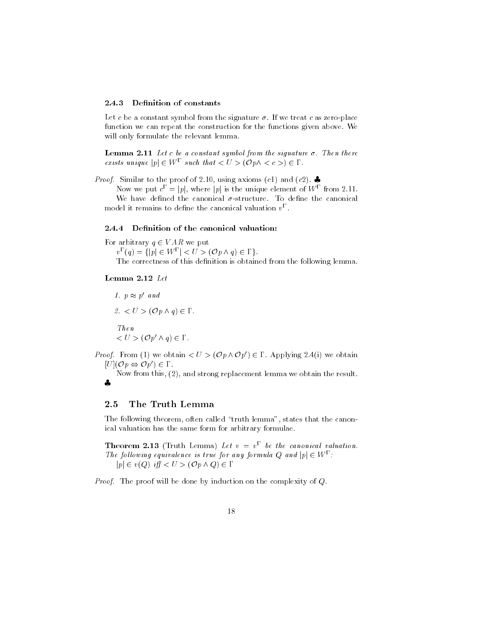#### 2.4.3 Definition of constants

Let c be a constant symbol from the signature  $\sigma$ . If we treat c as zero-place function we can repeat the construction for the functions given above. We will only formulate the relevant lemma.

**Lemma 2.11** Let c be a constant symbol from the signature  $\sigma$ . Then there exists unique  $|p| \in W^{\Gamma}$  such that  $\langle U \rangle (\mathcal{O} p \wedge \langle c \rangle) \in \Gamma$ .

*Proof.* Similar to the proof of 2.10, using axioms (c1) and (c2).

Now we put  $c^{\Gamma} = |p|$ , where |p| is the unique element of  $W^{\Gamma}$  from 2.11. We have defined the canonical  $\sigma$ -structure. To define the canonical model it remains to define the canonical valuation  $v^{\Gamma}$ .

# 2.4.4 Definition of the canonical valuation:

For arbitrary  $q \in VAR$  we put  $v^{\Gamma}(q) = \{|p| \in W^{\Gamma}| < U > (\mathcal{O}p \wedge q) \in \Gamma\}.$ The correctness of this definition is obtained from the following lemma.

## Lemma 2.12 Let

1.  $p \approx p'$  and  $2. < U > (Op \wedge q) \in \Gamma$ .  $Then$  $< U > (\mathcal{O}p' \wedge q) \in \Gamma.$ 

*Proof.* From (1) we obtain  $\langle U \rangle (\mathcal{O}_p \wedge \mathcal{O}_{p'}) \in \Gamma$ . Applying 2.4(i) we obtain  $[U](\mathcal{O}p \Leftrightarrow \mathcal{O}p') \in \Gamma.$ 

Now from this,  $(2)$ , and strong replacement lemma we obtain the result.  $\mathbf{a}$ 

#### The Truth Lemma 2.5

The following theorem, often called "truth lemma", states that the canonical valuation has the same form for arbitrary formulae.

**Theorem 2.13** (Truth Lemma) Let  $v = v^{\Gamma}$  be the canonical valuation. The following equivalence is true for any formula Q and  $|p| \in W^{\Gamma}$ .  $|p| \in v(Q)$  iff  $\lt U > (\mathcal{O}p \land Q) \in \Gamma$ 

*Proof.* The proof will be done by induction on the complexity of  $Q$ .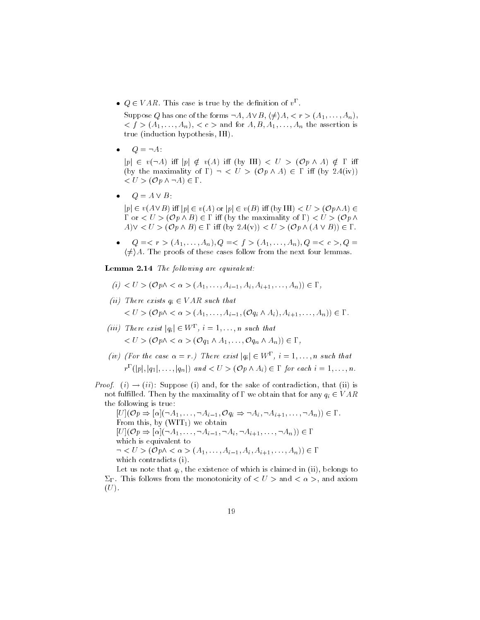•  $Q \in VAR$ . This case is true by the definition of  $v^{\Gamma}$ .

Suppose Q has one of the forms  $\neg A$ ,  $A \vee B$ ,  $\langle \neq \rangle A$ ,  $\langle r \rangle (A_1, \ldots, A_n)$ ,  $(f > (A_1, \ldots, A_n), < c >$  and for  $A, B, A_1, \ldots, A_n$  the assertion is true (induction hypothesis, IH).

 $\bullet$   $Q = \neg A$ :

 $|p| \in v(\neg A)$  iff  $|p| \notin v(A)$  iff  $(by \nvert H) < U > (Op \wedge A) \notin \Gamma$  iff (by the maximality of  $\Gamma$ )  $\neg$  < U > ( $\mathcal{O}p \wedge A$ )  $\in \Gamma$  iff (by 2.4(iv))  $\langle U \rangle (\mathcal{O}p \wedge \neg A) \in \Gamma.$ 

 $Q = A \vee B$ :

 $|p| \in v(A \vee B)$  iff  $|p| \in v(A)$  or  $|p| \in v(B)$  iff  $(by \amalg) < U > (Op \wedge A) \in$  $\Gamma$  or  $\langle U \rangle$  (Op  $\wedge$  B)  $\in \Gamma$  iff (by the maximality of  $\Gamma$ )  $\langle U \rangle$  (Op  $\wedge$  $A) \vee \langle U \rangle (\mathcal{O}p \wedge B) \in \Gamma$  iff  $(by 2.4(v)) \langle U \rangle (\mathcal{O}p \wedge (A \vee B)) \in \Gamma$ .

•  $Q = \langle r \rangle (A_1, \ldots, A_n), Q = \langle f \rangle (A_1, \ldots, A_n), Q = \langle c \rangle, Q =$  $\langle \neq \rangle$  A. The proofs of these cases follow from the next four lemmas.

**Lemma 2.14** The following are equivalent:

- $(i) < U > (Op \wedge < \alpha > (A_1, \ldots, A_{i-1}, A_i, A_{i+1}, \ldots, A_n)) \in \Gamma,$
- (ii) There exists  $q_i \in VAR$  such that  $\langle U \rangle$  (Op $\land \langle \alpha \rangle$  (A<sub>1</sub>, ..., A<sub>i-1</sub>, (Oq<sub>i</sub>  $\land$  A<sub>i</sub>), A<sub>i+1</sub>, ..., A<sub>n</sub>))  $\in \Gamma$ .
- (iii) There exist  $|q_i| \in W^{\Gamma}$ ,  $i = 1, \ldots, n$  such that  $\langle U \rangle (\mathcal{O} p \wedge \langle \alpha \rangle (\mathcal{O} q_1 \wedge A_1, \ldots, \mathcal{O} q_n \wedge A_n)) \in \Gamma,$
- (iv) (For the case  $\alpha = r$ .) There exist  $|q_i| \in W^{\Gamma}$ ,  $i = 1, ..., n$  such that  $r^{\Gamma}(|p|, |q_1|, \ldots, |q_n|)$  and  $\langle U \rangle (\mathcal{O}p \wedge A_i) \in \Gamma$  for each  $i = 1, \ldots, n$ .

*Proof.* (i)  $\rightarrow$  (ii): Suppose (i) and, for the sake of contradiction, that (ii) is not fulfilled. Then by the maximality of  $\Gamma$  we obtain that for any  $q_i \in VAR$ the following is true:

 $[U](\mathcal{O}p \Rightarrow [\alpha](\neg A_1, \ldots, \neg A_{i-1}, \mathcal{O}q_i \Rightarrow \neg A_i, \neg A_{i+1}, \ldots, \neg A_n)) \in \Gamma.$ From this, by  $(WIT_1)$  we obtain  $[U](\mathcal{O}p \Rightarrow [\alpha](\neg A_1, \ldots, \neg A_{i-1}, \neg A_i, \neg A_{i+1}, \ldots, \neg A_n)) \in \Gamma$ which is equivalent to  $\lnot < U > (\mathcal{O}p \land < \alpha > (A_1, \ldots, A_{i-1}, A_i, A_{i+1}, \ldots, A_n)) \in \Gamma$ which contradicts (i).

Let us note that  $q_i$ , the existence of which is claimed in (ii), belongs to  $\Sigma_{\Gamma}$ . This follows from the monotonicity of  $\langle U \rangle$  and  $\langle \alpha \rangle$ , and axiom  $(U)$ .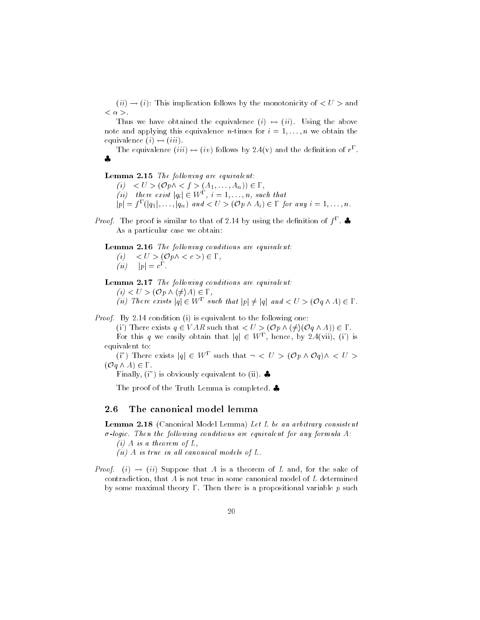$(ii) \rightarrow (i)$ : This implication follows by the monotonicity of  $\langle U \rangle$  and  $<\alpha>.$ 

Thus we have obtained the equivalence  $(i) \leftrightarrow (ii)$ . Using the above note and applying this equivalence *n*-times for  $i = 1, ..., n$  we obtain the equivalence  $(i) \leftrightarrow (iii)$ .

The equivalence  $(iii) \leftrightarrow (iv)$  follows by 2.4(v) and the definition of  $r^{\Gamma}$ .  $\bullet$ 

### Lemma 2.15 The following are equivalent:

(i)  $\langle U \rangle$   $\langle U \rangle$   $(\mathcal{O}p \land \langle f \rangle (A_1, \dots, A_n)) \in \Gamma$ , (ii) there exist  $|q_i| \in W^{\Gamma}$ ,  $i = 1, ..., n$ , such that  $|p| = f^{\Gamma}(|q_1|, \ldots, |q_n|)$  and  $\langle U \rangle (\mathcal{O}p \wedge A_i) \in \Gamma$  for any  $i = 1, \ldots, n$ .

*Proof.* The proof is similar to that of 2.14 by using the definition of  $f^{\Gamma}$ . As a particular case we obtain:

**Lemma 2.16** The following conditions are equivalent: (i)  $\langle U \rangle$   $\langle \mathcal{O} p \wedge \langle c \rangle \rangle \in \Gamma$ ,  $(ii)$   $|p| = c^{\Gamma}$ .

Lemma 2.17 The following conditions are equivalent:  $(i) < U > (\mathcal{O}p \wedge \langle \neq \rangle A) \in \Gamma$ , (ii) There exists  $|q| \in W^{\Gamma}$  such that  $|p| \neq |q|$  and  $\lt U > (\mathcal{O}q \wedge A) \in \Gamma$ .

*Proof.* By 2.14 condition (i) is equivalent to the following one:

(i') There exists  $q \in VAR$  such that  $\langle U \rangle (\mathcal{O}p \wedge \langle \neq \rangle (\mathcal{O}q \wedge A)) \in \Gamma$ .

For this q we easily obtain that  $|q| \in W^{\Gamma}$ , hence, by 2.4(vii), (i) is equivalent to:

(i") There exists  $|q| \in W^{\Gamma}$  such that  $\neg < U > (\mathcal{O}p \wedge \mathcal{O}q) \wedge < U >$  $(\mathcal{O} \mathfrak{q} \wedge A) \in \Gamma$ 

Finally, (i") is obviously equivalent to (ii).

The proof of the Truth Lemma is completed.  $\clubsuit$ 

#### 2.6 The canonical model lemma

Lemma 2.18 (Canonical Model Lemma) Let L be an arbitrary consistent  $\sigma$ -logic. Then the following conditions are equivalent for any formula A:

(i) A is a theorem of L,

 $(ii)$  A is true in all canonical models of L.

*Proof.* (i)  $\rightarrow$  (ii) Suppose that A is a theorem of L and, for the sake of contradiction, that  $A$  is not true in some canonical model of  $L$  determined by some maximal theory  $\Gamma$ . Then there is a propositional variable p such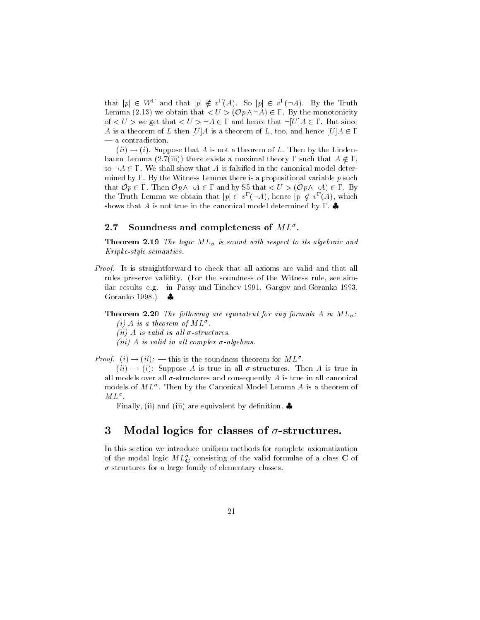that  $|p| \in W^{\Gamma}$  and that  $|p| \notin v^{\Gamma}(A)$ . So  $|p| \in v^{\Gamma}(\neg A)$ . By the Truth Lemma (2.13) we obtain that  $\langle U \rangle (\mathcal{O}p \wedge \neg A) \in \Gamma$ . By the monotonicity of  $\langle U \rangle$  we get that  $\langle U \rangle \neg A \in \Gamma$  and hence that  $\neg [U] A \in \Gamma$ . But since A is a theorem of L then [U]A is a theorem of L, too, and hence  $[U]A \in \Gamma$ — a contradiction.

 $(ii) \rightarrow (i)$ . Suppose that A is not a theorem of L. Then by the Lindenbaum Lemma (2.7(iii)) there exists a maximal theory  $\Gamma$  such that  $A \notin \Gamma$ , so  $\neg A \in \Gamma$ . We shall show that A is falsified in the canonical model determined by  $\Gamma$ . By the Witness Lemma there is a propositional variable p such that  $\mathcal{O}p \in \Gamma$ . Then  $\mathcal{O}p \wedge \neg A \in \Gamma$  and by S5 that  $\langle U \rangle (\mathcal{O}p \wedge \neg A) \in \Gamma$ . By the Truth Lemma we obtain that  $|p| \in v^{\Gamma}(\neg A)$ , hence  $|p| \notin v^{\Gamma}(A)$ , which shows that A is not true in the canonical model determined by  $\Gamma$ .

#### 2.7 Soundness and completeness of  $ML^{\sigma}$ .

**Theorem 2.19** The logic  $ML_{\sigma}$  is sound with respect to its algebraic and *Kripke-style semantics.* 

*Proof.* It is straightforward to check that all axioms are valid and that all rules preserve validity. (For the soundness of the Witness rule, see similar results e.g. in Passy and Tinchev 1991, Gargov and Goranko 1993, Goranko 1998.)  $\bullet$ 

**Theorem 2.20** The following are equivalent for any formula A in  $ML_{\sigma}$ : (i) A is a theorem of  $ML^{\sigma}$ .

(ii) A is valid in all  $\sigma$ -structures.

(iii) A is valid in all complex  $\sigma$ -algebras.

*Proof.* (i)  $\rightarrow$  (ii): — this is the soundness theorem for  $ML^{\sigma}$ .

 $(ii) \rightarrow (i)$ : Suppose A is true in all  $\sigma$ -structures. Then A is true in all models over all  $\sigma$ -structures and consequently A is true in all canonical models of  $ML^{\sigma}$ . Then by the Canonical Model Lemma A is a theorem of  $ML^{\sigma}$ .

Finally, (ii) and (iii) are equivalent by definition.  $\clubsuit$ 

### 3 Modal logics for classes of  $\sigma$ -structures.

In this section we introduce uniform methods for complete axiomatization of the modal logic  $ML^{\sigma}$  consisting of the valid formulae of a class C of  $\sigma$ -structures for a large family of elementary classes.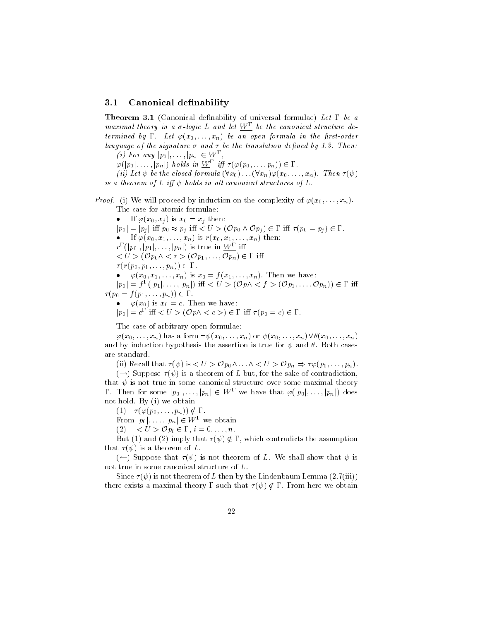#### $3.1$ Canonical definability

**Theorem 3.1** (Canonical definability of universal formulae) Let  $\Gamma$  be a maximal theory in a  $\sigma$ -logic L and let  $W^{\Gamma}$  be the canonical structure determined by  $\Gamma$ . Let  $\varphi(x_0,\ldots,x_n)$  be an open formula in the first-order language of the signature  $\sigma$  and  $\tau$  be the translation defined by 1.3. Then:

(i) For any  $|p_0|, \ldots, |p_n| \in W^{\Gamma}$ 

 $\varphi([p_0], \ldots, [p_n])$  holds in  $\underline{W}^{\Gamma}$  iff  $\tau(\varphi(p_0, \ldots, p_n)) \in \Gamma$ .

(ii) Let  $\psi$  be the closed formula  $(\forall x_0) \dots (\forall x_n) \varphi(x_0, \dots, x_n)$ . Then  $\tau(\psi)$ is a theorem of L iff  $\psi$  holds in all canonical structures of L.

*Proof.* (i) We will proceed by induction on the complexity of  $\varphi(x_0,\ldots,x_n)$ . The case for atomic formulae:

• If  $\varphi(x_0, x_j)$  is  $x_0 = x_j$  then:  $|p_0| = |p_j|$  iff  $p_0 \approx p_j$  iff  $\langle U \rangle (\mathcal{O}p_0 \wedge \mathcal{O}p_j) \in \Gamma$  iff  $\tau(p_0 = p_j) \in \Gamma$ . • If  $\varphi(x_0, x_1, ..., x_n)$  is  $r(x_0, x_1, ..., x_n)$  then:  $r^{\Gamma}(|p_0|, |p_1|, \ldots, |p_n|)$  is true in  $\underline{W^{\Gamma}}$  iff  $\langle U \rangle (\mathcal{O}p_0 \wedge \langle r \rangle (\mathcal{O}p_1, \ldots, \mathcal{O}p_n) \in \Gamma$  iff  $\tau(r(p_0, p_1, \ldots, p_n)) \in \Gamma$ .  $\varphi(x_0, x_1, \ldots, x_n)$  is  $x_0 = f(x_1, \ldots, x_n)$ . Then we have:  $|p_0| = f^{\Gamma}(p_1|, \ldots, |p_n|)$  iff  $\langle U \rangle (\mathcal{O} p \wedge \langle f \rangle (\mathcal{O} p_1, \ldots, \mathcal{O} p_n)) \in \Gamma$  iff  $\tau(p_0 = f(p_1, \ldots, p_n)) \in \Gamma.$  $\bullet \quad \varphi(x_0)$  is  $x_0 = c$ . Then we have:

 $|p_0| = c^{\Gamma}$  iff  $\langle U \rangle (\mathcal{O}p \wedge \langle c \rangle) \in \Gamma$  iff  $\tau(p_0 = c) \in \Gamma$ .

The case of arbitrary open formulae:

 $\varphi(x_0,\ldots,x_n)$  has a form  $\neg\psi(x_0,\ldots,x_n)$  or  $\psi(x_0,\ldots,x_n)\vee\theta(x_0,\ldots,x_n)$ and by induction hypothesis the assertion is true for  $\psi$  and  $\theta$ . Both cases are standard.

(ii) Recall that  $\tau(\psi)$  is  $\langle U \rangle \mathcal{O} p_0 \wedge \ldots \wedge \langle U \rangle \mathcal{O} p_n \Rightarrow \tau \varphi(p_0, \ldots, p_n)$ 

 $(\rightarrow)$  Suppose  $\tau(\psi)$  is a theorem of L but, for the sake of contradiction, that  $\psi$  is not true in some canonical structure over some maximal theory  $\Gamma$ . Then for some  $|p_0|, \ldots, |p_n| \in W^{\Gamma}$  we have that  $\varphi(|p_0|, \ldots, |p_n|)$  does not hold. By (i) we obtain

 $(1)$   $\tau(\varphi(p_0,\ldots,p_n)) \notin \Gamma$ .

From  $|p_0|, \ldots, |p_n| \in W^{\Gamma}$  we obtain

(2)  $\langle U \rangle \sim Q p_i \in \Gamma, i = 0, \ldots, n.$ 

But (1) and (2) imply that  $\tau(\psi) \notin \Gamma$ , which contradicts the assumption that  $\tau(\psi)$  is a theorem of L.

 $(\leftarrow)$  Suppose that  $\tau(\psi)$  is not theorem of L. We shall show that  $\psi$  is not true in some canonical structure of L.

Since  $\tau(\psi)$  is not theorem of L then by the Lindenbaum Lemma (2.7(iii)) there exists a maximal theory  $\Gamma$  such that  $\tau(\psi) \notin \Gamma$ . From here we obtain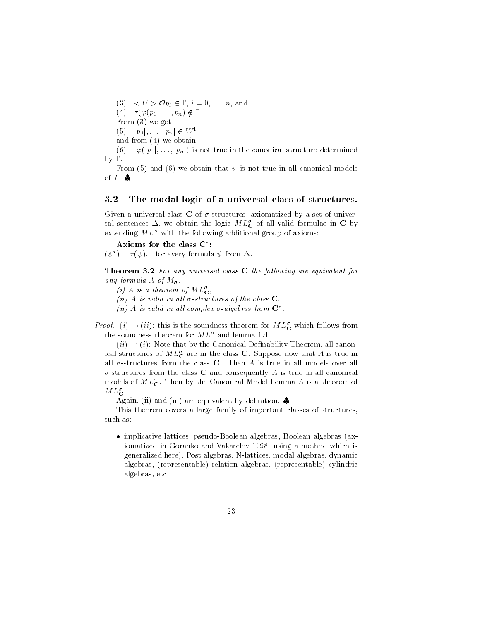(3)  $\langle U \rangle \mathcal{O} p_i \in \Gamma$ ,  $i = 0, \ldots, n$ , and (4)  $\tau(\varphi(p_0,\ldots,p_n) \notin \Gamma$ . From  $(3)$  we get  $(5)$   $|p_0|, \ldots, |p_n| \in W^{\Gamma}$ and from  $(4)$  we obtain

 $\varphi([p_0], \ldots, [p_n])$  is not true in the canonical structure determined  $(6)$  $by \Gamma.$ 

From (5) and (6) we obtain that  $\psi$  is not true in all canonical models of  $L$ .

#### The modal logic of a universal class of structures.  $3.2$

Given a universal class  $C$  of  $\sigma$ -structures, axiomatized by a set of universal sentences  $\Delta$ , we obtain the logic  $ML_{\mathbf{C}}^{\sigma}$  of all valid formulae in C by extending  $ML^{\sigma}$  with the following additional group of axioms:

Axioms for the class C\*:

 $\tau(\psi)$ , for every formula  $\psi$  from  $\Delta$ .  $(\psi^*)$ 

Theorem 3.2 For any universal class C the following are equivalent for any formula A of  $M_{\sigma}$ :

(i) A is a theorem of  $ML^{\sigma}$ ,

(ii) A is valid in all  $\sigma$ -structures of the class  $C$ .

(ii) A is valid in all complex  $\sigma$ -algebras from  $\mathbb{C}^*$ .

*Proof.* (i)  $\rightarrow$  (ii): this is the soundness theorem for  $ML^{\sigma}_{\mathbf{C}}$  which follows from the soundness theorem for  $ML^{\sigma}$  and lemma 1.4.

 $(ii) \rightarrow (i)$ : Note that by the Canonical Definability Theorem, all canonical structures of  $ML_{\mathbf{C}}^{\sigma}$  are in the class **C**. Suppose now that A is true in all  $\sigma$ -structures from the class C. Then A is true in all models over all  $\sigma$ -structures from the class C and consequently A is true in all canonical models of  $ML_{\mathbf{C}}^{\sigma}$ . Then by the Canonical Model Lemma A is a theorem of  $ML^{\sigma}_{\mathbf{C}}$ .

Again, (ii) and (iii) are equivalent by definition.  $\clubsuit$ 

This theorem covers a large family of important classes of structures, such as:

• implicative lattices, pseudo-Boolean algebras, Boolean algebras (axiomatized in Goranko and Vakarelov 1998 using a method which is generalized here), Post algebras, N-lattices, modal algebras, dynamic algebras, (representable) relation algebras, (representable) cylindric algebras, etc.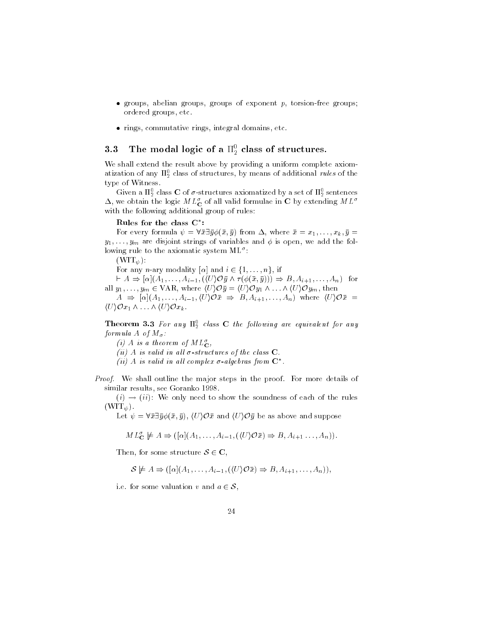- groups, abelian groups, groups of exponent  $p$ , torsion-free groups; ordered groups, etc.
- rings, commutative rings, integral domains, etc.

### The modal logic of a  $\Pi_2^0$  class of structures. 3.3

We shall extend the result above by providing a uniform complete axiomatization of any  $\Pi_2^0$  class of structures, by means of additional *rules* of the type of Witness.

Given a  $\Pi_2^0$  class C of  $\sigma$ -structures axiomatized by a set of  $\Pi_2^0$  sentences  $\Delta$ , we obtain the logic  $ML^{\sigma}_{\mathbf{C}}$  of all valid formulae in C by extending  $ML^{\sigma}$ with the following additional group of rules:

### Rules for the class  $C^*$ :

For every formula  $\psi = \forall \bar{x} \exists \bar{y} \phi(\bar{x}, \bar{y})$  from  $\Delta$ , where  $\bar{x} = x_1, \ldots, x_k, \bar{y} =$  $y_1, \ldots, y_m$  are disjoint strings of variables and  $\phi$  is open, we add the following rule to the axiomatic system  $ML^{\sigma}$ :

 $(WIT_{\psi})$ :

For any *n*-ary modality [ $\alpha$ ] and  $i \in \{1, ..., n\}$ , if

 $\vdash A \Rightarrow [\alpha](A_1, \ldots, A_{i-1}, (\langle U \rangle \mathcal{O} \bar{y} \land \tau(\phi(\bar{x}, \bar{y}))) \Rightarrow B, A_{i+1}, \ldots, A_n)$  for all  $y_1, \ldots, y_m \in \text{VAR}, \text{ where } \langle U \rangle \mathcal{O} \bar{y} = \langle U \rangle \mathcal{O} y_1 \wedge \ldots \wedge \langle U \rangle \mathcal{O} y_m, \text{ then}$ 

 $A \Rightarrow [\alpha](A_1,\ldots,A_{i-1},\langle U\rangle\mathcal{O}\bar{x} \Rightarrow B,A_{i+1},\ldots,A_n)$  where  $\langle U\rangle\mathcal{O}\bar{x} =$  $\langle U \rangle \mathcal{O} x_1 \wedge \ldots \wedge \langle U \rangle \mathcal{O} x_k$ .

**Theorem 3.3** For any  $\Pi_2^0$  class C the following are equivalent for any formula A of  $M_{\sigma}$ :

(i) A is a theorem of  $ML^{\sigma}_{\mathbf{C}}$ ,

(ii) A is valid in all  $\sigma$ -structures of the class  $C$ .

(ii) A is valid in all complex  $\sigma$ -algebras from  $\mathbb{C}^*$ .

*Proof.* We shall outline the major steps in the proof. For more details of similar results, see Goranko 1998.

 $(i) \rightarrow (ii)$ : We only need to show the soundness of each of the rules  $(WIT_{\psi}).$ 

Let  $\psi = \forall \bar{x} \exists \bar{y} \phi(\bar{x}, \bar{y}), \langle U \rangle \mathcal{O} \bar{x}$  and  $\langle U \rangle \mathcal{O} \bar{y}$  be as above and suppose

$$
ML_{\mathbf{C}}^{\sigma} \not\models A \Rightarrow ([\alpha](A_1, \ldots, A_{i-1}, (\langle U \rangle \mathcal{O}\bar{x}) \Rightarrow B, A_{i+1}, \ldots, A_n)).
$$

Then, for some structure  $S \in \mathbf{C}$ ,

$$
\mathcal{S} \not\models A \Rightarrow ([\alpha](A_1,\ldots,A_{i-1},(\langle U \rangle \mathcal{O}\bar{x}) \Rightarrow B,A_{i+1},\ldots,A_n)),
$$

i.e. for some valuation v and  $a \in \mathcal{S}$ ,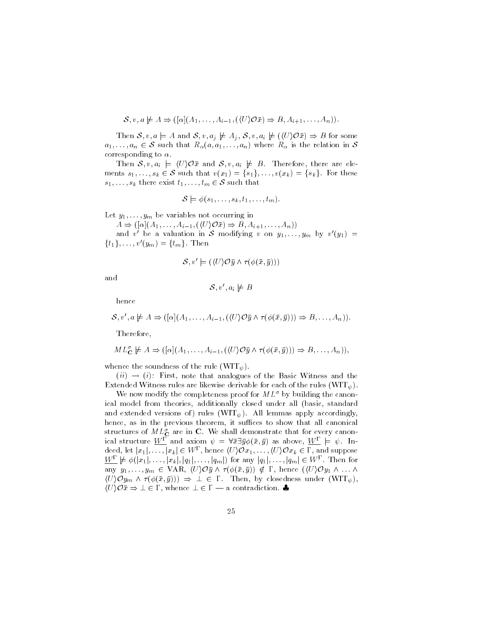$$
\mathcal{S}, v, a \not\models A \Rightarrow ([\alpha](A_1, \ldots, A_{i-1}, (\langle U \rangle \mathcal{O}\bar{x}) \Rightarrow B, A_{i+1}, \ldots, A_n))
$$

Then  $S, v, a \models A$  and  $S, v, a_j \not\models A_j, S, v, a_i \not\models (\langle U \rangle \mathcal{O}\bar{x}) \Rightarrow B$  for some  $a_1, \ldots, a_n \in S$  such that  $R_\alpha(a, a_1, \ldots, a_n)$  where  $R_\alpha$  is the relation in S corresponding to  $\alpha$ .

Then  $S, v, a_i \models \langle U \rangle \mathcal{O}\bar{x}$  and  $S, v, a_i \not\models B$ . Therefore, there are elements  $s_1, \ldots, s_k \in \mathcal{S}$  such that  $v(x_1) = \{s_1\}, \ldots, v(x_k) = \{s_k\}.$  For these  $s_1, \ldots, s_k$  there exist  $t_1, \ldots, t_m \in \mathcal{S}$  such that

$$
\mathcal{S} \models \phi(s_1,\ldots,s_k,t_1,\ldots,t_m).
$$

Let  $y_1, \ldots, y_m$  be variables not occurring in

 $A \Rightarrow ([\alpha](A_1, \ldots, A_{i-1}, (\langle U \rangle \mathcal{O}\bar{x}) \Rightarrow B, A_{i+1}, \ldots, A_n))$ 

and v' be a valuation in S modifying v on  $y_1, \ldots, y_m$  by  $v'(y_1) =$  $\{t_1\},\ldots,v'(y_m)=\{t_m\}.$  Then

$$
\mathcal{S}, v' \models (\langle U \rangle \mathcal{O}\bar{y} \land \tau(\phi(\bar{x}, \bar{y})))
$$

and

$$
S, v', a_i \not\models B
$$

hence

$$
\mathcal{S}, v', a \not\models A \Rightarrow ([\alpha](A_1, \ldots, A_{i-1}, (\langle U \rangle \mathcal{O} \bar{y} \land \tau(\phi(\bar{x}, \bar{y}))) \Rightarrow B, \ldots, A_n))
$$

Therefore.

$$
ML_{\mathbf{C}}^{\sigma} \not\models A \Rightarrow ([\alpha](A_1, \ldots, A_{i-1}, (\langle U \rangle \mathcal{O}\bar{y} \land \tau(\phi(\bar{x}, \bar{y}))) \Rightarrow B, \ldots, A_n))
$$

whence the soundness of the rule ( $WIT_{\psi}$ ).

 $(ii) \rightarrow (i)$ : First, note that analogues of the Basic Witness and the Extended Witness rules are likewise derivable for each of the rules (WIT<sub> $\psi$ </sub>).

We now modify the completeness proof for  $ML^{\sigma}$  by building the canonical model from theories, additionally closed under all (basic, standard and extended versions of) rules (WIT<sub> $\psi$ </sub>). All lemmas apply accordingly, hence, as in the previous theorem, it suffices to show that all canonical structures of  $ML^{\sigma}_{\mathbf{C}}$  are in C. We shall demonstrate that for every canonical structure  $\underline{W}^{\Gamma}$  and axiom  $\psi = \forall \bar{x} \exists \bar{y} \phi(\bar{x}, \bar{y})$  as above,  $\underline{W}^{\Gamma} \models \psi$ . Indeed, let  $|x_1|, \ldots, |x_k| \in W^{\Gamma}$ , hence  $\langle U \rangle \mathcal{O} x_1, \ldots, \langle U \rangle \mathcal{O} x_k \in \Gamma$ , and suppose  $\underline{W^{\Gamma}} \not\models \phi(|x_1|, \ldots, |x_k|, |q_1|, \ldots, |q_m|)$  for any  $|q_1|, \ldots, |q_m| \in W^{\Gamma}$ . Then for any  $y_1, \ldots, y_m \in \text{VAR}, \langle U \rangle \mathcal{O} \bar{y} \wedge \tau(\phi(\bar{x}, \bar{y})) \notin \Gamma$ , hence  $(\langle U \rangle \mathcal{O} y_1 \wedge \ldots \wedge$  $\langle U\rangle \mathcal{O}y_m \wedge \tau(\phi(\bar{x},\bar{y}))) \Rightarrow \bot \in \Gamma$ . Then, by closedness under  $(WIT_{\psi}),$  $\langle U \rangle \mathcal{O}\bar{x} \Rightarrow \bot \in \Gamma$ , whence  $\bot \in \Gamma$  - a contradiction.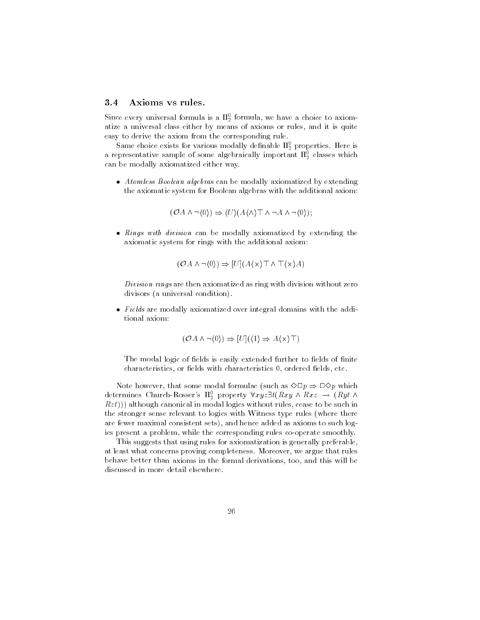#### $3.4$ Axioms vs rules.

Since every universal formula is a  $\Pi_2^0$  formula, we have a choice to axiomatize a universal class either by means of axioms or rules, and it is quite easy to derive the axiom from the corresponding rule.

Same choice exists for various modally definable  $\Pi_2^0$  properties. Here is a representative sample of some algebraically important  $\Pi_2^0$  classes which can be modally axiomatized either way.

• Atomless Boolean algebras can be modally axiomatized by extending the axiomatic system for Boolean algebras with the additional axiom:

$$
(\mathcal{O}A \land \neg\langle 0 \rangle) \Rightarrow \langle U \rangle (A \langle \land \rangle \top \land \neg A \land \neg\langle 0 \rangle);
$$

• Rings with division can be modally axiomatized by extending the axiomatic system for rings with the additional axiom:

$$
(\mathcal{O}A \land \neg \langle 0 \rangle) \Rightarrow [U](A \langle \times \rangle \top \land \top \langle \times \rangle A)
$$

Division rings are then axiomatized as ring with division without zero divisors (a universal condition).

• Fields are modally axiomatized over integral domains with the additional axiom:

$$
(\mathcal{O}A \land \neg \langle 0 \rangle) \Rightarrow [U](\langle 1 \rangle \Rightarrow A \langle \times \rangle \top)
$$

The modal logic of fields is easily extended further to fields of finite characteristics, or fields with characteristics 0, ordered fields, etc.

Note however, that some modal formulae (such as  $\Diamond \Box p \Rightarrow \Box \Diamond p$  which determines Church-Rosser's  $\Pi_2^0$  property  $\forall xyz \exists t (Rxy \land Rxz \rightarrow (Ryt \land$  $Rzt$ )) although canonical in modal logics without rules, cease to be such in the stronger sense relevant to logics with Witness type rules (where there are fewer maximal consistent sets), and hence added as axioms to such logics present a problem, while the corresponding rules co-operate smoothly.

This suggests that using rules for axiomatization is generally preferable, at least what concerns proving completeness. Moreover, we argue that rules behave better than axioms in the formal derivations, too, and this will be discussed in more detail elsewhere.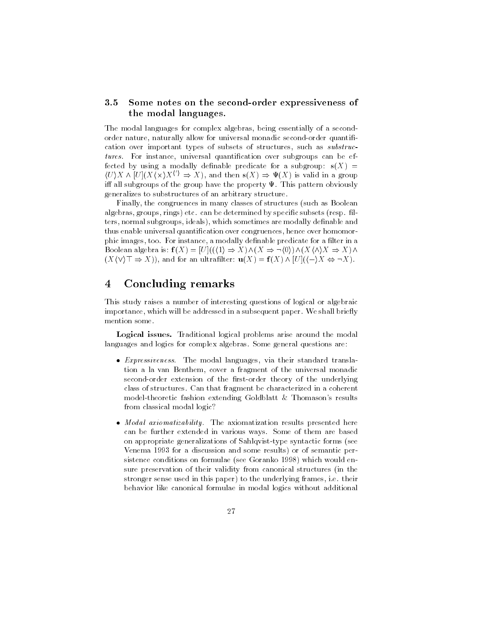### $3.5$ Some notes on the second-order expressiveness of the modal languages.

The modal languages for complex algebras, being essentially of a secondorder nature, naturally allow for universal monadic second-order quantification over important types of subsets of structures, such as *substruc*tures. For instance, universal quantification over subgroups can be effected by using a modally definable predicate for a subgroup:  $s(X)$  =  $\langle U \rangle X \wedge [U](X \langle \times \rangle X^{\langle \cdot \rangle} \Rightarrow X)$ , and then  $s(X) \Rightarrow \Psi(X)$  is valid in a group iff all subgroups of the group have the property  $\Psi$ . This pattern obviously generalizes to substructures of an arbitrary structure.

Finally, the congruences in many classes of structures (such as Boolean algebras, groups, rings) etc. can be determined by specific subsets (resp. filters, normal subgroups, ideals), which sometimes are modally definable and thus enable universal quantification over congruences, hence over homomorphic images, too. For instance, a modally definable predicate for a filter in a Boolean algebra is:  $f(X) = [U]((\langle 1 \rangle \Rightarrow X) \wedge (X \Rightarrow \neg \langle 0 \rangle) \wedge (X \langle \wedge \rangle X \Rightarrow X) \wedge$  $(X \vee \vee \top \Rightarrow X)$ , and for an ultrafilter:  $\mathbf{u}(X) = \mathbf{f}(X) \wedge [U]((-\rangle X \Leftrightarrow \neg X)$ .

### $\overline{\mathbf{4}}$ Concluding remarks

This study raises a number of interesting questions of logical or algebraic importance, which will be addressed in a subsequent paper. We shall briefly mention some.

Logical issues. Traditional logical problems arise around the modal languages and logics for complex algebras. Some general questions are:

- *Expressiveness.* The modal languages, via their standard translation a la van Benthem, cover a fragment of the universal monadic second-order extension of the first-order theory of the underlying class of structures. Can that fragment be characterized in a coherent model-theoretic fashion extending Goldblatt & Thomason's results from classical modal logic?
- Modal axiomatizability. The axiomatization results presented here can be further extended in various ways. Some of them are based on appropriate generalizations of Sahlqvist-type syntactic forms (see Venema 1993 for a discussion and some results) or of semantic persistence conditions on formulae (see Goranko 1998) which would ensure preservation of their validity from canonical structures (in the stronger sense used in this paper) to the underlying frames, i.e. their behavior like canonical formulae in modal logics without additional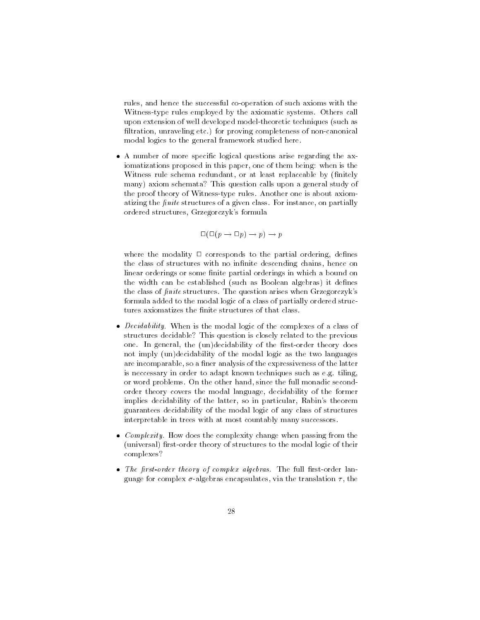rules, and hence the successful co-operation of such axioms with the Witness-type rules employed by the axiomatic systems. Others call upon extension of well developed model-theoretic techniques (such as filtration, unraveling etc.) for proving completeness of non-canonical modal logics to the general framework studied here.

• A number of more specific logical questions arise regarding the axiomatizations proposed in this paper, one of them being: when is the Witness rule schema redundant, or at least replaceable by (finitely many) axiom schemata? This question calls upon a general study of the proof theory of Witness-type rules. Another one is about axiomatizing the *finite* structures of a given class. For instance, on partially ordered structures, Grzegorczyk's formula

 $\Box(\Box(p \rightarrow \Box p) \rightarrow p) \rightarrow p$ 

where the modality  $\Box$  corresponds to the partial ordering, defines the class of structures with no infinite descending chains, hence on linear orderings or some finite partial orderings in which a bound on the width can be established (such as Boolean algebras) it defines the class of finite structures. The question arises when Grzegorczyk's formula added to the modal logic of a class of partially ordered structures axiomatizes the finite structures of that class.

- *Decidability*. When is the modal logic of the complexes of a class of structures decidable? This question is closely related to the previous one. In general, the (un)decidability of the first-order theory does not imply (un)decidability of the modal logic as the two languages are incomparable, so a finer analysis of the expressiveness of the latter is neccessary in order to adapt known techniques such as e.g. tiling, or word problems. On the other hand, since the full monadic secondorder theory covers the modal language, decidability of the former implies decidability of the latter, so in particular, Rabin's theorem guarantees decidability of the modal logic of any class of structures interpretable in trees with at most countably many successors.
- *Complexity*. How does the complexity change when passing from the (universal) first-order theory of structures to the modal logic of their complexes?
- The first-order theory of complex algebras. The full first-order language for complex  $\sigma$ -algebras encapsulates, via the translation  $\tau$ , the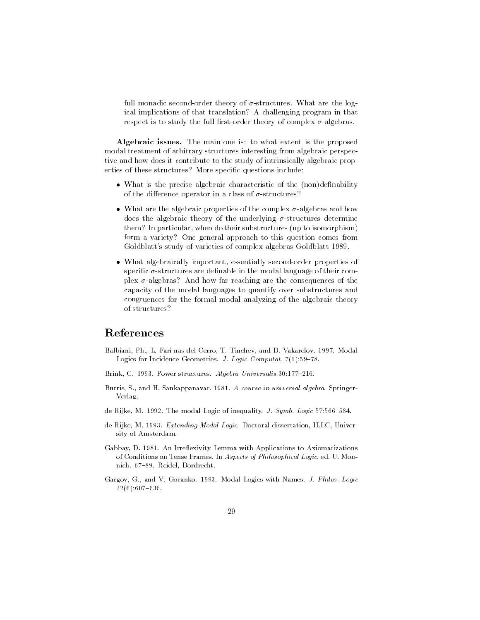full monadic second-order theory of  $\sigma$ -structures. What are the logical implications of that translation? A challenging program in that respect is to study the full first-order theory of complex  $\sigma$ -algebras.

Algebraic issues. The main one is: to what extent is the proposed modal treatment of arbitrary structures interesting from algebraic perspective and how does it contribute to the study of intrinsically algebraic properties of these structures? More specific questions include:

- What is the precise algebraic characteristic of the (non)definability of the difference operator in a class of  $\sigma$ -structures?
- What are the algebraic properties of the complex  $\sigma$ -algebras and how does the algebraic theory of the underlying  $\sigma$ -structures determine them? In particular, when do their substructures (up to isomorphism) form a variety? One general approach to this question comes from Goldblatt's study of varieties of complex algebras Goldblatt 1989.
- What algebraically important, essentially second-order properties of specific  $\sigma$ -structures are definable in the modal language of their complex  $\sigma$ -algebras? And how far reaching are the consequences of the capacity of the modal languages to quantify over substructures and congruences for the formal modal analyzing of the algebraic theory of structures?

# References

- Balbiani, Ph., L. Fari nas del Cerro, T. Tinchev, and D. Vakarelov. 1997. Modal Logics for Incidence Geometries. J. Logic Computat. 7(1):59-78.
- Brink, C. 1993. Power structures. Algebra Universalis 30:177-216.
- Burris, S., and H. Sankappanavar. 1981. *A course in universal algebra*. Springer-Verlag.
- de Rijke, M. 1992. The modal Logic of inequality. J. Symb. Logic  $57:566-584$ .
- de Rijke, M. 1993. Extending Modal Logic. Doctoral dissertation, ILLC, University of Amsterdam.
- Gabbay, D. 1981. An Irreflexivity Lemma with Applications to Axiomatizations of Conditions on Tense Frames. In Aspects of Philosophical Logic, ed. U. Monnich. 67-89. Reidel. Dordrecht.
- Gargov, G., and V. Goranko. 1993. Modal Logics with Names. J. Philos. Logic  $22(6):607-636.$